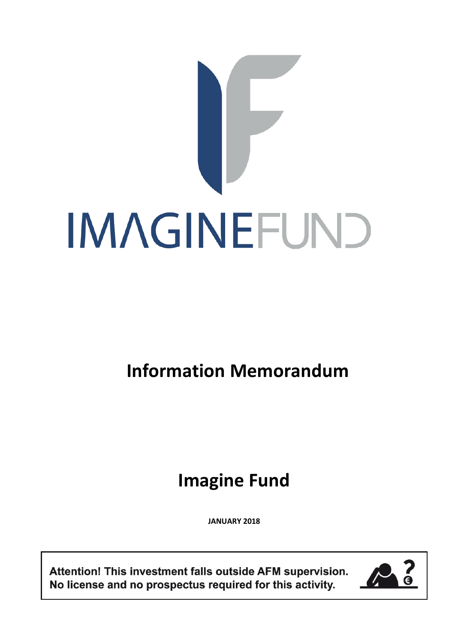# IMAGINEFUND

# **Information Memorandum**

# **Imagine Fund**

**JANUARY 2018**

Attention! This investment falls outside AFM supervision. No license and no prospectus required for this activity.

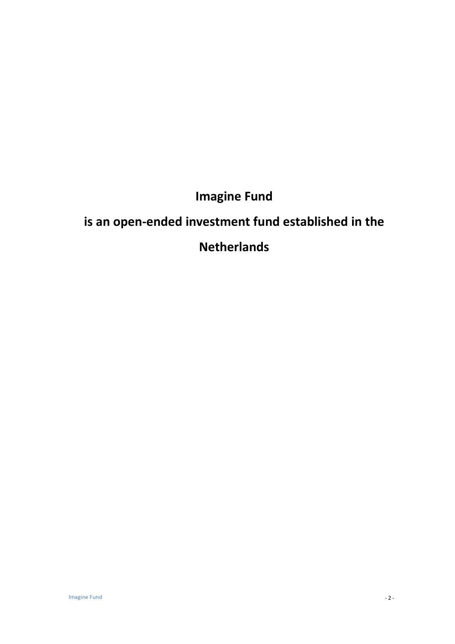# **Imagine Fund**

# **is an open-ended investment fund established in the**

# **Netherlands**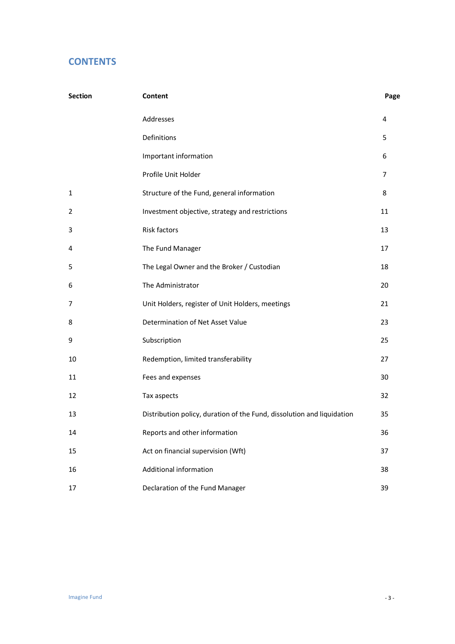# **CONTENTS**

| Section | Content                                                                | Page           |  |
|---------|------------------------------------------------------------------------|----------------|--|
|         | Addresses                                                              | 4              |  |
|         | Definitions                                                            | 5              |  |
|         | Important information                                                  | 6              |  |
|         | Profile Unit Holder                                                    | $\overline{7}$ |  |
| 1       | Structure of the Fund, general information                             | 8              |  |
| 2       | Investment objective, strategy and restrictions                        | 11             |  |
| 3       | Risk factors                                                           | 13             |  |
| 4       | The Fund Manager                                                       | 17             |  |
| 5       | The Legal Owner and the Broker / Custodian                             | 18             |  |
| 6       | The Administrator                                                      | 20             |  |
| 7       | Unit Holders, register of Unit Holders, meetings                       | 21             |  |
| 8       | Determination of Net Asset Value                                       | 23             |  |
| 9       | Subscription                                                           | 25             |  |
| 10      | Redemption, limited transferability                                    | 27             |  |
| 11      | Fees and expenses                                                      | 30             |  |
| 12      | Tax aspects                                                            | 32             |  |
| 13      | Distribution policy, duration of the Fund, dissolution and liquidation | 35             |  |
| 14      | Reports and other information                                          | 36             |  |
| 15      | Act on financial supervision (Wft)                                     | 37             |  |
| 16      | Additional information                                                 | 38             |  |
| 17      | Declaration of the Fund Manager                                        | 39             |  |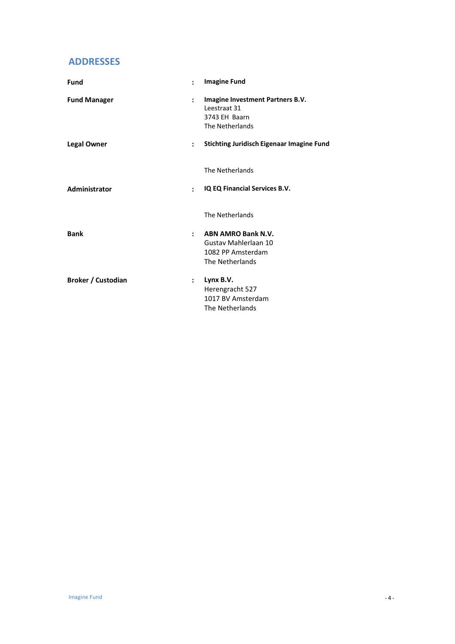# **ADDRESSES**

| <b>Fund</b>         | $\ddot{\cdot}$       | <b>Imagine Fund</b>                                                                                          |
|---------------------|----------------------|--------------------------------------------------------------------------------------------------------------|
| <b>Fund Manager</b> | $\ddot{\phantom{a}}$ | Imagine Investment Partners B.V.<br>Leestraat 31<br>3743 EH Baarn<br>The Netherlands                         |
| <b>Legal Owner</b>  | $\ddot{\phantom{a}}$ | <b>Stichting Juridisch Eigenaar Imagine Fund</b><br>Hoogoorddreef 15<br>1101 BA Amsterdam<br>The Netherlands |
| Administrator       | $\ddot{\phantom{a}}$ | IQ EQ Financial Services B.V.<br>Hoogoorddreef 15<br>1101 BA Amsterdam<br>The Netherlands                    |
| <b>Bank</b>         | $\ddot{\phantom{a}}$ | <b>ABN AMRO Bank N.V.</b><br>Gustav Mahlerlaan 10<br>1082 PP Amsterdam<br>The Netherlands                    |
| Broker / Custodian  | $\ddot{\cdot}$       | Lynx B.V.<br>Herengracht 527<br>1017 BV Amsterdam<br>The Netherlands                                         |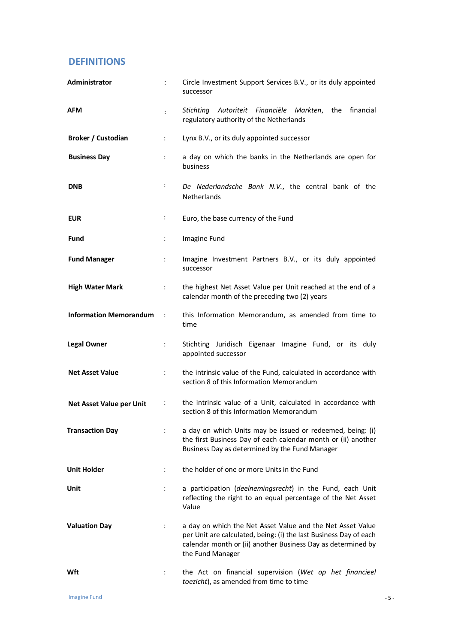# **DEFINITIONS**

| Administrator                   | $\ddot{\cdot}$       | Circle Investment Support Services B.V., or its duly appointed<br>successor                                                                                                                                         |
|---------------------------------|----------------------|---------------------------------------------------------------------------------------------------------------------------------------------------------------------------------------------------------------------|
| <b>AFM</b>                      | $\ddot{\cdot}$       | financial<br>Stichting Autoriteit Financiële Markten, the<br>regulatory authority of the Netherlands                                                                                                                |
| <b>Broker / Custodian</b>       | ÷                    | Lynx B.V., or its duly appointed successor                                                                                                                                                                          |
| <b>Business Day</b>             | ÷                    | a day on which the banks in the Netherlands are open for<br>business                                                                                                                                                |
| <b>DNB</b>                      | ÷                    | De Nederlandsche Bank N.V., the central bank of the<br><b>Netherlands</b>                                                                                                                                           |
| <b>EUR</b>                      | ÷                    | Euro, the base currency of the Fund                                                                                                                                                                                 |
| Fund                            | ÷                    | Imagine Fund                                                                                                                                                                                                        |
| <b>Fund Manager</b>             | ÷                    | Imagine Investment Partners B.V., or its duly appointed<br>successor                                                                                                                                                |
| <b>High Water Mark</b>          | $\ddot{\phantom{a}}$ | the highest Net Asset Value per Unit reached at the end of a<br>calendar month of the preceding two (2) years                                                                                                       |
| <b>Information Memorandum</b>   | $\sim$ 1.            | this Information Memorandum, as amended from time to<br>time                                                                                                                                                        |
| <b>Legal Owner</b>              | ÷                    | Stichting Juridisch Eigenaar Imagine Fund, or its duly<br>appointed successor                                                                                                                                       |
| <b>Net Asset Value</b>          | ÷.                   | the intrinsic value of the Fund, calculated in accordance with<br>section 8 of this Information Memorandum                                                                                                          |
| <b>Net Asset Value per Unit</b> | ÷                    | the intrinsic value of a Unit, calculated in accordance with<br>section 8 of this Information Memorandum                                                                                                            |
| <b>Transaction Day</b>          | $\ddot{\phantom{a}}$ | a day on which Units may be issued or redeemed, being: (i)<br>the first Business Day of each calendar month or (ii) another<br>Business Day as determined by the Fund Manager                                       |
| <b>Unit Holder</b>              | $\ddot{\phantom{a}}$ | the holder of one or more Units in the Fund                                                                                                                                                                         |
| Unit                            | ÷                    | a participation (deelnemingsrecht) in the Fund, each Unit<br>reflecting the right to an equal percentage of the Net Asset<br>Value                                                                                  |
| <b>Valuation Day</b>            | ÷                    | a day on which the Net Asset Value and the Net Asset Value<br>per Unit are calculated, being: (i) the last Business Day of each<br>calendar month or (ii) another Business Day as determined by<br>the Fund Manager |
| Wft                             | ÷                    | the Act on financial supervision (Wet op het financieel<br>toezicht), as amended from time to time                                                                                                                  |

Imagine Fund - 5 -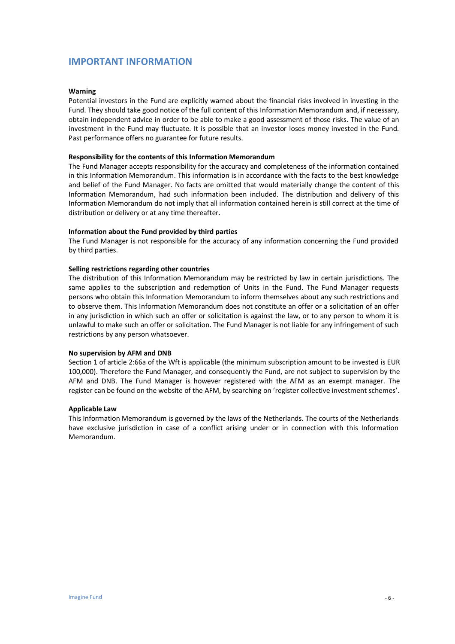# **IMPORTANT INFORMATION**

#### **Warning**

Potential investors in the Fund are explicitly warned about the financial risks involved in investing in the Fund. They should take good notice of the full content of this Information Memorandum and, if necessary, obtain independent advice in order to be able to make a good assessment of those risks. The value of an investment in the Fund may fluctuate. It is possible that an investor loses money invested in the Fund. Past performance offers no guarantee for future results.

#### **Responsibility for the contents of this Information Memorandum**

The Fund Manager accepts responsibility for the accuracy and completeness of the information contained in this Information Memorandum. This information is in accordance with the facts to the best knowledge and belief of the Fund Manager. No facts are omitted that would materially change the content of this Information Memorandum, had such information been included. The distribution and delivery of this Information Memorandum do not imply that all information contained herein is still correct at the time of distribution or delivery or at any time thereafter.

#### **Information about the Fund provided by third parties**

The Fund Manager is not responsible for the accuracy of any information concerning the Fund provided by third parties.

#### **Selling restrictions regarding other countries**

The distribution of this Information Memorandum may be restricted by law in certain jurisdictions. The same applies to the subscription and redemption of Units in the Fund. The Fund Manager requests persons who obtain this Information Memorandum to inform themselves about any such restrictions and to observe them. This Information Memorandum does not constitute an offer or a solicitation of an offer in any jurisdiction in which such an offer or solicitation is against the law, or to any person to whom it is unlawful to make such an offer or solicitation. The Fund Manager is not liable for any infringement of such restrictions by any person whatsoever.

#### **No supervision by AFM and DNB**

Section 1 of article 2:66a of the Wft is applicable (the minimum subscription amount to be invested is EUR 100,000). Therefore the Fund Manager, and consequently the Fund, are not subject to supervision by the AFM and DNB. The Fund Manager is however registered with the AFM as an exempt manager. The register can be found on the website of the AFM, by searching on 'register collective investment schemes'.

#### **Applicable Law**

This Information Memorandum is governed by the laws of the Netherlands. The courts of the Netherlands have exclusive jurisdiction in case of a conflict arising under or in connection with this Information Memorandum.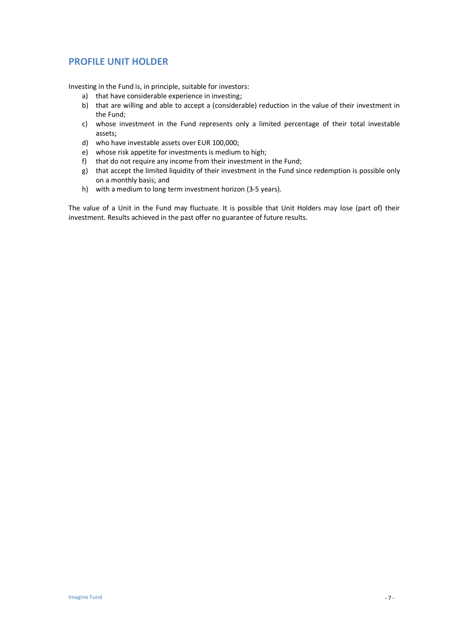# **PROFILE UNIT HOLDER**

Investing in the Fund is, in principle, suitable for investors:

- a) that have considerable experience in investing;
- b) that are willing and able to accept a (considerable) reduction in the value of their investment in the Fund;
- c) whose investment in the Fund represents only a limited percentage of their total investable assets;
- d) who have investable assets over EUR 100,000;
- e) whose risk appetite for investments is medium to high;
- f) that do not require any income from their investment in the Fund;
- g) that accept the limited liquidity of their investment in the Fund since redemption is possible only on a monthly basis; and
- h) with a medium to long term investment horizon (3-5 years).

The value of a Unit in the Fund may fluctuate. It is possible that Unit Holders may lose (part of) their investment. Results achieved in the past offer no guarantee of future results.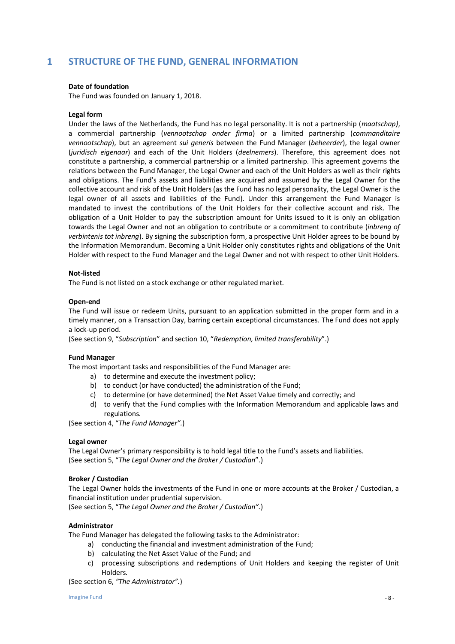# **1 STRUCTURE OF THE FUND, GENERAL INFORMATION**

#### **Date of foundation**

The Fund was founded on January 1, 2018.

#### **Legal form**

Under the laws of the Netherlands, the Fund has no legal personality. It is not a partnership (*maatschap)*, a commercial partnership (*vennootschap onder firma*) or a limited partnership (*commanditaire vennootschap*), but an agreement *sui generis* between the Fund Manager (*beheerder*), the legal owner (*juridisch eigenaar*) and each of the Unit Holders (*deelnemers*). Therefore, this agreement does not constitute a partnership, a commercial partnership or a limited partnership. This agreement governs the relations between the Fund Manager, the Legal Owner and each of the Unit Holders as well as their rights and obligations. The Fund's assets and liabilities are acquired and assumed by the Legal Owner for the collective account and risk of the Unit Holders (as the Fund has no legal personality, the Legal Owner is the legal owner of all assets and liabilities of the Fund). Under this arrangement the Fund Manager is mandated to invest the contributions of the Unit Holders for their collective account and risk. The obligation of a Unit Holder to pay the subscription amount for Units issued to it is only an obligation towards the Legal Owner and not an obligation to contribute or a commitment to contribute (*inbreng of verbintenis tot inbreng*). By signing the subscription form, a prospective Unit Holder agrees to be bound by the Information Memorandum. Becoming a Unit Holder only constitutes rights and obligations of the Unit Holder with respect to the Fund Manager and the Legal Owner and not with respect to other Unit Holders.

#### **Not-listed**

The Fund is not listed on a stock exchange or other regulated market.

#### **Open-end**

The Fund will issue or redeem Units, pursuant to an application submitted in the proper form and in a timely manner, on a Transaction Day, barring certain exceptional circumstances. The Fund does not apply a lock-up period.

(See section 9, "*Subscription*" and section 10, "*Redemption, limited transferability*".)

#### **Fund Manager**

The most important tasks and responsibilities of the Fund Manager are:

- a) to determine and execute the investment policy;
- b) to conduct (or have conducted) the administration of the Fund;
- c) to determine (or have determined) the Net Asset Value timely and correctly; and
- d) to verify that the Fund complies with the Information Memorandum and applicable laws and regulations.

(See section 4, "*The Fund Manager".*)

#### **Legal owner**

The Legal Owner's primary responsibility is to hold legal title to the Fund's assets and liabilities. (See section 5, "*The Legal Owner and the Broker / Custodian*".)

#### **Broker / Custodian**

The Legal Owner holds the investments of the Fund in one or more accounts at the Broker / Custodian, a financial institution under prudential supervision.

(See section 5, "*The Legal Owner and the Broker / Custodian".*)

#### **Administrator**

The Fund Manager has delegated the following tasks to the Administrator:

- a) conducting the financial and investment administration of the Fund;
- b) calculating the Net Asset Value of the Fund; and
- c) processing subscriptions and redemptions of Unit Holders and keeping the register of Unit Holders.

(See section 6, *"The Administrator".*)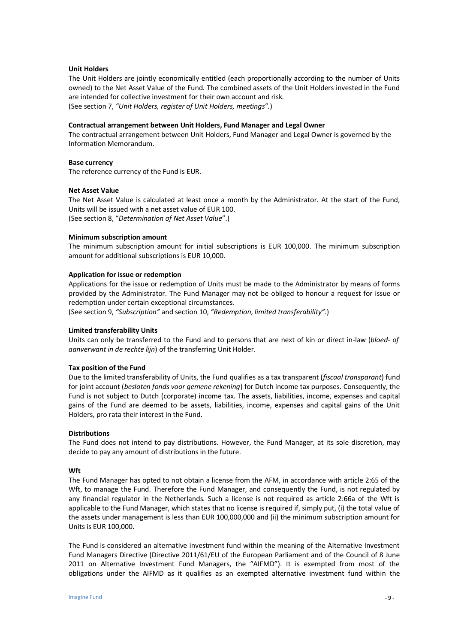#### **Unit Holders**

The Unit Holders are jointly economically entitled (each proportionally according to the number of Units owned) to the Net Asset Value of the Fund. The combined assets of the Unit Holders invested in the Fund are intended for collective investment for their own account and risk. (See section 7, *"Unit Holders, register of Unit Holders, meetings".*)

#### **Contractual arrangement between Unit Holders, Fund Manager and Legal Owner**

The contractual arrangement between Unit Holders, Fund Manager and Legal Owner is governed by the Information Memorandum.

#### **Base currency**

The reference currency of the Fund is EUR.

#### **Net Asset Value**

The Net Asset Value is calculated at least once a month by the Administrator. At the start of the Fund, Units will be issued with a net asset value of EUR 100. (See section 8, "*Determination of Net Asset Value*".)

#### **Minimum subscription amount**

The minimum subscription amount for initial subscriptions is EUR 100,000. The minimum subscription amount for additional subscriptions is EUR 10,000.

#### **Application for issue or redemption**

Applications for the issue or redemption of Units must be made to the Administrator by means of forms provided by the Administrator. The Fund Manager may not be obliged to honour a request for issue or redemption under certain exceptional circumstances.

(See section 9, *"Subscription"* and section 10, *"Redemption, limited transferability".*)

#### **Limited transferability Units**

Units can only be transferred to the Fund and to persons that are next of kin or direct in-law (*bloed- of aanverwant in de rechte lijn*) of the transferring Unit Holder.

#### **Tax position of the Fund**

Due to the limited transferability of Units, the Fund qualifies as a tax transparent (*fiscaal transparant*) fund for joint account (*besloten fonds voor gemene rekening*) for Dutch income tax purposes. Consequently, the Fund is not subject to Dutch (corporate) income tax. The assets, liabilities, income, expenses and capital gains of the Fund are deemed to be assets, liabilities, income, expenses and capital gains of the Unit Holders, pro rata their interest in the Fund.

#### **Distributions**

The Fund does not intend to pay distributions. However, the Fund Manager, at its sole discretion, may decide to pay any amount of distributions in the future.

#### **Wft**

The Fund Manager has opted to not obtain a license from the AFM, in accordance with article 2:65 of the Wft, to manage the Fund. Therefore the Fund Manager, and consequently the Fund, is not regulated by any financial regulator in the Netherlands. Such a license is not required as article 2:66a of the Wft is applicable to the Fund Manager, which states that no license is required if, simply put, (i) the total value of the assets under management is less than EUR 100,000,000 and (ii) the minimum subscription amount for Units is EUR 100,000.

The Fund is considered an alternative investment fund within the meaning of the Alternative Investment Fund Managers Directive (Directive 2011/61/EU of the European Parliament and of the Council of 8 June 2011 on Alternative Investment Fund Managers, the "AIFMD"). It is exempted from most of the obligations under the AIFMD as it qualifies as an exempted alternative investment fund within the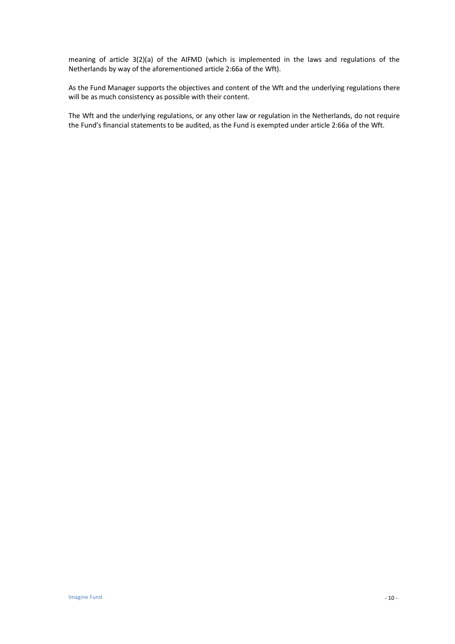meaning of article 3(2)(a) of the AIFMD (which is implemented in the laws and regulations of the Netherlands by way of the aforementioned article 2:66a of the Wft).

As the Fund Manager supports the objectives and content of the Wft and the underlying regulations there will be as much consistency as possible with their content.

The Wft and the underlying regulations, or any other law or regulation in the Netherlands, do not require the Fund's financial statements to be audited, as the Fund is exempted under article 2:66a of the Wft.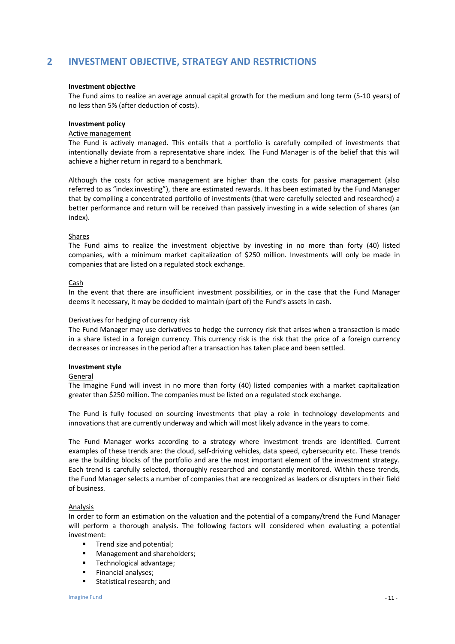# **2 INVESTMENT OBJECTIVE, STRATEGY AND RESTRICTIONS**

#### **Investment objective**

The Fund aims to realize an average annual capital growth for the medium and long term (5-10 years) of no less than 5% (after deduction of costs).

#### **Investment policy**

#### Active management

The Fund is actively managed. This entails that a portfolio is carefully compiled of investments that intentionally deviate from a representative share index. The Fund Manager is of the belief that this will achieve a higher return in regard to a benchmark.

Although the costs for active management are higher than the costs for passive management (also referred to as "index investing"), there are estimated rewards. It has been estimated by the Fund Manager that by compiling a concentrated portfolio of investments (that were carefully selected and researched) a better performance and return will be received than passively investing in a wide selection of shares (an index).

#### Shares

The Fund aims to realize the investment objective by investing in no more than forty (40) listed companies, with a minimum market capitalization of \$250 million. Investments will only be made in companies that are listed on a regulated stock exchange.

#### Cash

In the event that there are insufficient investment possibilities, or in the case that the Fund Manager deems it necessary, it may be decided to maintain (part of) the Fund's assets in cash.

#### Derivatives for hedging of currency risk

The Fund Manager may use derivatives to hedge the currency risk that arises when a transaction is made in a share listed in a foreign currency. This currency risk is the risk that the price of a foreign currency decreases or increases in the period after a transaction has taken place and been settled.

#### **Investment style**

#### **General**

The Imagine Fund will invest in no more than forty (40) listed companies with a market capitalization greater than \$250 million. The companies must be listed on a regulated stock exchange.

The Fund is fully focused on sourcing investments that play a role in technology developments and innovations that are currently underway and which will most likely advance in the years to come.

The Fund Manager works according to a strategy where investment trends are identified. Current examples of these trends are: the cloud, self-driving vehicles, data speed, cybersecurity etc. These trends are the building blocks of the portfolio and are the most important element of the investment strategy. Each trend is carefully selected, thoroughly researched and constantly monitored. Within these trends, the Fund Manager selects a number of companies that are recognized as leaders or disrupters in their field of business.

#### **Analysis**

In order to form an estimation on the valuation and the potential of a company/trend the Fund Manager will perform a thorough analysis. The following factors will considered when evaluating a potential investment:

- **Trend size and potential;**
- Management and shareholders;
- Technological advantage;
- Financial analyses;
- **Statistical research; and**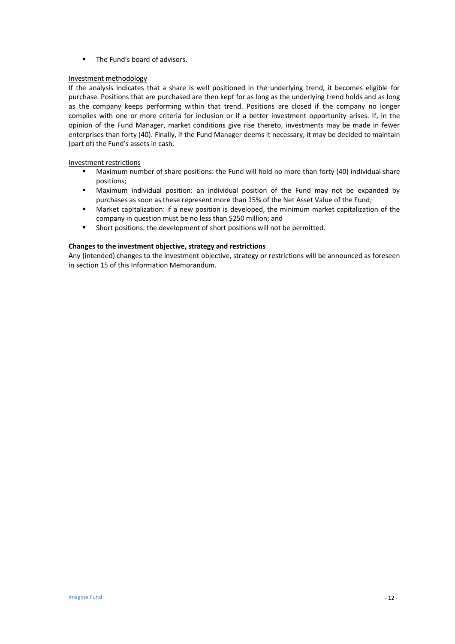■ The Fund's board of advisors.

#### Investment methodology

If the analysis indicates that a share is well positioned in the underlying trend, it becomes eligible for purchase. Positions that are purchased are then kept for as long as the underlying trend holds and as long as the company keeps performing within that trend. Positions are closed if the company no longer complies with one or more criteria for inclusion or if a better investment opportunity arises. If, in the opinion of the Fund Manager, market conditions give rise thereto, investments may be made in fewer enterprises than forty (40). Finally, if the Fund Manager deems it necessary, it may be decided to maintain (part of) the Fund's assets in cash.

#### Investment restrictions

- Maximum number of share positions: the Fund will hold no more than forty (40) individual share positions;
- Maximum individual position: an individual position of the Fund may not be expanded by purchases as soon as these represent more than 15% of the Net Asset Value of the Fund;
- Market capitalization: if a new position is developed, the minimum market capitalization of the company in question must be no less than \$250 million; and
- Short positions: the development of short positions will not be permitted.

#### **Changes to the investment objective, strategy and restrictions**

Any (intended) changes to the investment objective, strategy or restrictions will be announced as foreseen in section 15 of this Information Memorandum.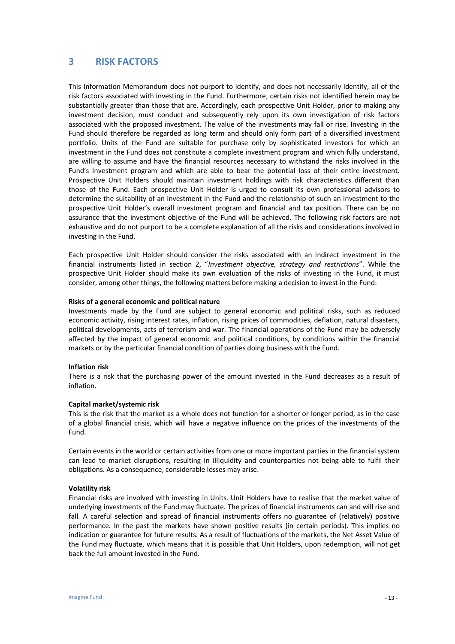## **3 RISK FACTORS**

This Information Memorandum does not purport to identify, and does not necessarily identify, all of the risk factors associated with investing in the Fund. Furthermore, certain risks not identified herein may be substantially greater than those that are. Accordingly, each prospective Unit Holder, prior to making any investment decision, must conduct and subsequently rely upon its own investigation of risk factors associated with the proposed investment. The value of the investments may fall or rise. Investing in the Fund should therefore be regarded as long term and should only form part of a diversified investment portfolio. Units of the Fund are suitable for purchase only by sophisticated investors for which an investment in the Fund does not constitute a complete investment program and which fully understand, are willing to assume and have the financial resources necessary to withstand the risks involved in the Fund's investment program and which are able to bear the potential loss of their entire investment. Prospective Unit Holders should maintain investment holdings with risk characteristics different than those of the Fund. Each prospective Unit Holder is urged to consult its own professional advisors to determine the suitability of an investment in the Fund and the relationship of such an investment to the prospective Unit Holder's overall investment program and financial and tax position. There can be no assurance that the investment objective of the Fund will be achieved. The following risk factors are not exhaustive and do not purport to be a complete explanation of all the risks and considerations involved in investing in the Fund.

Each prospective Unit Holder should consider the risks associated with an indirect investment in the financial instruments listed in section 2, "*Investment objective, strategy and restrictions*". While the prospective Unit Holder should make its own evaluation of the risks of investing in the Fund, it must consider, among other things, the following matters before making a decision to invest in the Fund:

#### **Risks of a general economic and political nature**

Investments made by the Fund are subject to general economic and political risks, such as reduced economic activity, rising interest rates, inflation, rising prices of commodities, deflation, natural disasters, political developments, acts of terrorism and war. The financial operations of the Fund may be adversely affected by the impact of general economic and political conditions, by conditions within the financial markets or by the particular financial condition of parties doing business with the Fund.

#### **Inflation risk**

There is a risk that the purchasing power of the amount invested in the Fund decreases as a result of inflation.

#### **Capital market/systemic risk**

This is the risk that the market as a whole does not function for a shorter or longer period, as in the case of a global financial crisis, which will have a negative influence on the prices of the investments of the Fund.

Certain events in the world or certain activities from one or more important parties in the financial system can lead to market disruptions, resulting in illiquidity and counterparties not being able to fulfil their obligations. As a consequence, considerable losses may arise.

#### **Volatility risk**

Financial risks are involved with investing in Units. Unit Holders have to realise that the market value of underlying investments of the Fund may fluctuate. The prices of financial instruments can and will rise and fall. A careful selection and spread of financial instruments offers no guarantee of (relatively) positive performance. In the past the markets have shown positive results (in certain periods). This implies no indication or guarantee for future results. As a result of fluctuations of the markets, the Net Asset Value of the Fund may fluctuate, which means that it is possible that Unit Holders, upon redemption, will not get back the full amount invested in the Fund.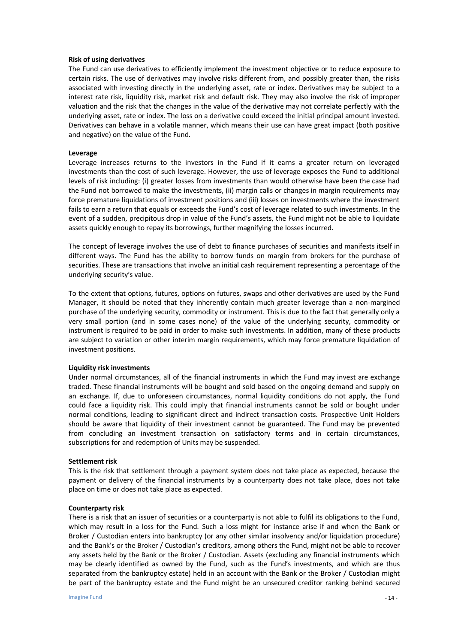#### **Risk of using derivatives**

The Fund can use derivatives to efficiently implement the investment objective or to reduce exposure to certain risks. The use of derivatives may involve risks different from, and possibly greater than, the risks associated with investing directly in the underlying asset, rate or index. Derivatives may be subject to a interest rate risk, liquidity risk, market risk and default risk. They may also involve the risk of improper valuation and the risk that the changes in the value of the derivative may not correlate perfectly with the underlying asset, rate or index. The loss on a derivative could exceed the initial principal amount invested. Derivatives can behave in a volatile manner, which means their use can have great impact (both positive and negative) on the value of the Fund.

#### **Leverage**

Leverage increases returns to the investors in the Fund if it earns a greater return on leveraged investments than the cost of such leverage. However, the use of leverage exposes the Fund to additional levels of risk including: (i) greater losses from investments than would otherwise have been the case had the Fund not borrowed to make the investments, (ii) margin calls or changes in margin requirements may force premature liquidations of investment positions and (iii) losses on investments where the investment fails to earn a return that equals or exceeds the Fund's cost of leverage related to such investments. In the event of a sudden, precipitous drop in value of the Fund's assets, the Fund might not be able to liquidate assets quickly enough to repay its borrowings, further magnifying the losses incurred.

The concept of leverage involves the use of debt to finance purchases of securities and manifests itself in different ways. The Fund has the ability to borrow funds on margin from brokers for the purchase of securities. These are transactions that involve an initial cash requirement representing a percentage of the underlying security's value.

To the extent that options, futures, options on futures, swaps and other derivatives are used by the Fund Manager, it should be noted that they inherently contain much greater leverage than a non-margined purchase of the underlying security, commodity or instrument. This is due to the fact that generally only a very small portion (and in some cases none) of the value of the underlying security, commodity or instrument is required to be paid in order to make such investments. In addition, many of these products are subject to variation or other interim margin requirements, which may force premature liquidation of investment positions.

#### **Liquidity risk investments**

Under normal circumstances, all of the financial instruments in which the Fund may invest are exchange traded. These financial instruments will be bought and sold based on the ongoing demand and supply on an exchange. If, due to unforeseen circumstances, normal liquidity conditions do not apply, the Fund could face a liquidity risk. This could imply that financial instruments cannot be sold or bought under normal conditions, leading to significant direct and indirect transaction costs. Prospective Unit Holders should be aware that liquidity of their investment cannot be guaranteed. The Fund may be prevented from concluding an investment transaction on satisfactory terms and in certain circumstances, subscriptions for and redemption of Units may be suspended.

#### **Settlement risk**

This is the risk that settlement through a payment system does not take place as expected, because the payment or delivery of the financial instruments by a counterparty does not take place, does not take place on time or does not take place as expected.

#### **Counterparty risk**

There is a risk that an issuer of securities or a counterparty is not able to fulfil its obligations to the Fund, which may result in a loss for the Fund. Such a loss might for instance arise if and when the Bank or Broker / Custodian enters into bankruptcy (or any other similar insolvency and/or liquidation procedure) and the Bank's or the Broker / Custodian's creditors, among others the Fund, might not be able to recover any assets held by the Bank or the Broker / Custodian. Assets (excluding any financial instruments which may be clearly identified as owned by the Fund, such as the Fund's investments, and which are thus separated from the bankruptcy estate) held in an account with the Bank or the Broker / Custodian might be part of the bankruptcy estate and the Fund might be an unsecured creditor ranking behind secured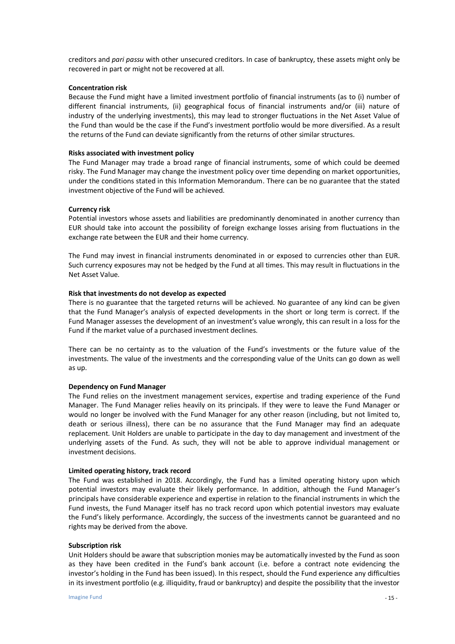creditors and *pari passu* with other unsecured creditors. In case of bankruptcy, these assets might only be recovered in part or might not be recovered at all.

#### **Concentration risk**

Because the Fund might have a limited investment portfolio of financial instruments (as to (i) number of different financial instruments, (ii) geographical focus of financial instruments and/or (iii) nature of industry of the underlying investments), this may lead to stronger fluctuations in the Net Asset Value of the Fund than would be the case if the Fund's investment portfolio would be more diversified. As a result the returns of the Fund can deviate significantly from the returns of other similar structures.

#### **Risks associated with investment policy**

The Fund Manager may trade a broad range of financial instruments, some of which could be deemed risky. The Fund Manager may change the investment policy over time depending on market opportunities, under the conditions stated in this Information Memorandum. There can be no guarantee that the stated investment objective of the Fund will be achieved.

#### **Currency risk**

Potential investors whose assets and liabilities are predominantly denominated in another currency than EUR should take into account the possibility of foreign exchange losses arising from fluctuations in the exchange rate between the EUR and their home currency.

The Fund may invest in financial instruments denominated in or exposed to currencies other than EUR. Such currency exposures may not be hedged by the Fund at all times. This may result in fluctuations in the Net Asset Value.

#### **Risk that investments do not develop as expected**

There is no guarantee that the targeted returns will be achieved. No guarantee of any kind can be given that the Fund Manager's analysis of expected developments in the short or long term is correct. If the Fund Manager assesses the development of an investment's value wrongly, this can result in a loss for the Fund if the market value of a purchased investment declines.

There can be no certainty as to the valuation of the Fund's investments or the future value of the investments. The value of the investments and the corresponding value of the Units can go down as well as up.

#### **Dependency on Fund Manager**

The Fund relies on the investment management services, expertise and trading experience of the Fund Manager. The Fund Manager relies heavily on its principals. If they were to leave the Fund Manager or would no longer be involved with the Fund Manager for any other reason (including, but not limited to, death or serious illness), there can be no assurance that the Fund Manager may find an adequate replacement. Unit Holders are unable to participate in the day to day management and investment of the underlying assets of the Fund. As such, they will not be able to approve individual management or investment decisions.

#### **Limited operating history, track record**

The Fund was established in 2018. Accordingly, the Fund has a limited operating history upon which potential investors may evaluate their likely performance. In addition, although the Fund Manager's principals have considerable experience and expertise in relation to the financial instruments in which the Fund invests, the Fund Manager itself has no track record upon which potential investors may evaluate the Fund's likely performance. Accordingly, the success of the investments cannot be guaranteed and no rights may be derived from the above.

#### **Subscription risk**

Unit Holders should be aware that subscription monies may be automatically invested by the Fund as soon as they have been credited in the Fund's bank account (i.e. before a contract note evidencing the investor's holding in the Fund has been issued). In this respect, should the Fund experience any difficulties in its investment portfolio (e.g. illiquidity, fraud or bankruptcy) and despite the possibility that the investor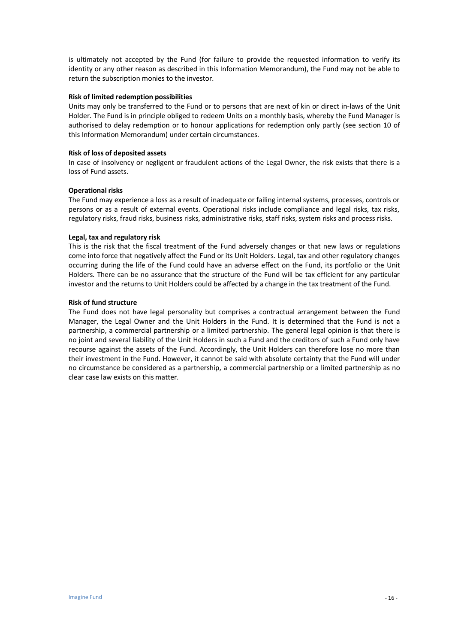is ultimately not accepted by the Fund (for failure to provide the requested information to verify its identity or any other reason as described in this Information Memorandum), the Fund may not be able to return the subscription monies to the investor.

#### **Risk of limited redemption possibilities**

Units may only be transferred to the Fund or to persons that are next of kin or direct in-laws of the Unit Holder. The Fund is in principle obliged to redeem Units on a monthly basis, whereby the Fund Manager is authorised to delay redemption or to honour applications for redemption only partly (see section 10 of this Information Memorandum) under certain circumstances.

#### **Risk of loss of deposited assets**

In case of insolvency or negligent or fraudulent actions of the Legal Owner, the risk exists that there is a loss of Fund assets.

#### **Operational risks**

The Fund may experience a loss as a result of inadequate or failing internal systems, processes, controls or persons or as a result of external events. Operational risks include compliance and legal risks, tax risks, regulatory risks, fraud risks, business risks, administrative risks, staff risks, system risks and process risks.

#### **Legal, tax and regulatory risk**

This is the risk that the fiscal treatment of the Fund adversely changes or that new laws or regulations come into force that negatively affect the Fund or its Unit Holders. Legal, tax and other regulatory changes occurring during the life of the Fund could have an adverse effect on the Fund, its portfolio or the Unit Holders. There can be no assurance that the structure of the Fund will be tax efficient for any particular investor and the returns to Unit Holders could be affected by a change in the tax treatment of the Fund.

#### **Risk of fund structure**

The Fund does not have legal personality but comprises a contractual arrangement between the Fund Manager, the Legal Owner and the Unit Holders in the Fund. It is determined that the Fund is not a partnership, a commercial partnership or a limited partnership. The general legal opinion is that there is no joint and several liability of the Unit Holders in such a Fund and the creditors of such a Fund only have recourse against the assets of the Fund. Accordingly, the Unit Holders can therefore lose no more than their investment in the Fund. However, it cannot be said with absolute certainty that the Fund will under no circumstance be considered as a partnership, a commercial partnership or a limited partnership as no clear case law exists on this matter.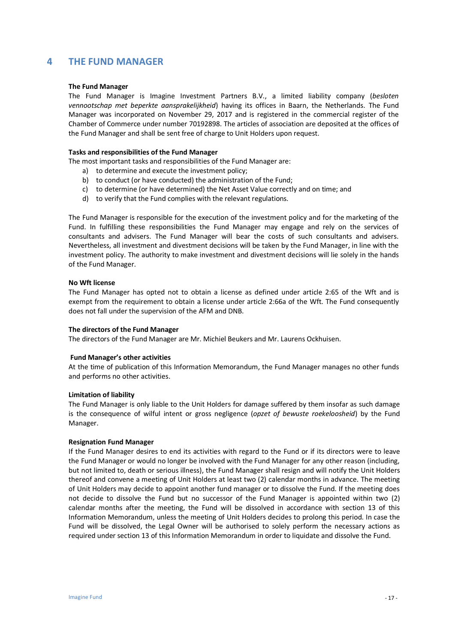## **4 THE FUND MANAGER**

#### **The Fund Manager**

The Fund Manager is Imagine Investment Partners B.V., a limited liability company (*besloten vennootschap met beperkte aansprakelijkheid*) having its offices in Baarn, the Netherlands. The Fund Manager was incorporated on November 29, 2017 and is registered in the commercial register of the Chamber of Commerce under number 70192898. The articles of association are deposited at the offices of the Fund Manager and shall be sent free of charge to Unit Holders upon request.

#### **Tasks and responsibilities of the Fund Manager**

The most important tasks and responsibilities of the Fund Manager are:

- a) to determine and execute the investment policy;
- b) to conduct (or have conducted) the administration of the Fund;
- c) to determine (or have determined) the Net Asset Value correctly and on time; and
- d) to verify that the Fund complies with the relevant regulations.

The Fund Manager is responsible for the execution of the investment policy and for the marketing of the Fund. In fulfilling these responsibilities the Fund Manager may engage and rely on the services of consultants and advisers. The Fund Manager will bear the costs of such consultants and advisers. Nevertheless, all investment and divestment decisions will be taken by the Fund Manager, in line with the investment policy. The authority to make investment and divestment decisions will lie solely in the hands of the Fund Manager.

#### **No Wft license**

The Fund Manager has opted not to obtain a license as defined under article 2:65 of the Wft and is exempt from the requirement to obtain a license under article 2:66a of the Wft. The Fund consequently does not fall under the supervision of the AFM and DNB.

#### **The directors of the Fund Manager**

The directors of the Fund Manager are Mr. Michiel Beukers and Mr. Laurens Ockhuisen.

#### **Fund Manager's other activities**

At the time of publication of this Information Memorandum, the Fund Manager manages no other funds and performs no other activities.

#### **Limitation of liability**

The Fund Manager is only liable to the Unit Holders for damage suffered by them insofar as such damage is the consequence of wilful intent or gross negligence (*opzet of bewuste roekeloosheid*) by the Fund Manager.

#### **Resignation Fund Manager**

If the Fund Manager desires to end its activities with regard to the Fund or if its directors were to leave the Fund Manager or would no longer be involved with the Fund Manager for any other reason (including, but not limited to, death or serious illness), the Fund Manager shall resign and will notify the Unit Holders thereof and convene a meeting of Unit Holders at least two (2) calendar months in advance. The meeting of Unit Holders may decide to appoint another fund manager or to dissolve the Fund. If the meeting does not decide to dissolve the Fund but no successor of the Fund Manager is appointed within two (2) calendar months after the meeting, the Fund will be dissolved in accordance with section 13 of this Information Memorandum, unless the meeting of Unit Holders decides to prolong this period. In case the Fund will be dissolved, the Legal Owner will be authorised to solely perform the necessary actions as required under section 13 of this Information Memorandum in order to liquidate and dissolve the Fund.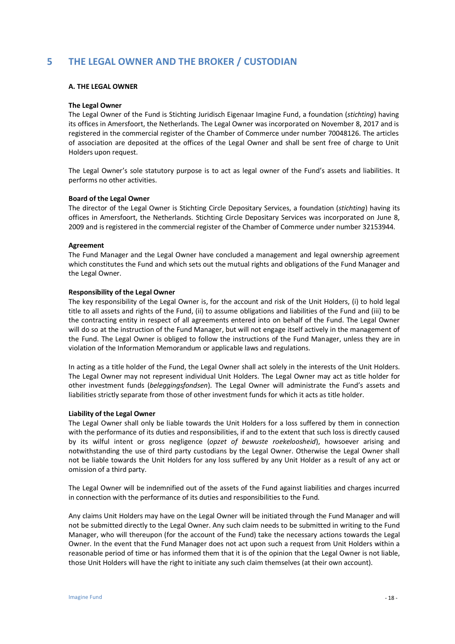# **5 THE LEGAL OWNER AND THE BROKER / CUSTODIAN**

#### **A. THE LEGAL OWNER**

#### **The Legal Owner**

The Legal Owner of the Fund is Stichting Juridisch Eigenaar Imagine Fund, a foundation (*stichting*) having its offices in Amersfoort, the Netherlands. The Legal Owner was incorporated on November 8, 2017 and is registered in the commercial register of the Chamber of Commerce under number 70048126. The articles of association are deposited at the offices of the Legal Owner and shall be sent free of charge to Unit Holders upon request.

The Legal Owner's sole statutory purpose is to act as legal owner of the Fund's assets and liabilities. It performs no other activities.

#### **Board of the Legal Owner**

The director of the Legal Owner is Stichting Circle Depositary Services, a foundation (*stichting*) having its offices in Amersfoort, the Netherlands. Stichting Circle Depositary Services was incorporated on June 8, 2009 and is registered in the commercial register of the Chamber of Commerce under number 32153944.

#### **Agreement**

The Fund Manager and the Legal Owner have concluded a management and legal ownership agreement which constitutes the Fund and which sets out the mutual rights and obligations of the Fund Manager and the Legal Owner.

#### **Responsibility of the Legal Owner**

The key responsibility of the Legal Owner is, for the account and risk of the Unit Holders, (i) to hold legal title to all assets and rights of the Fund, (ii) to assume obligations and liabilities of the Fund and (iii) to be the contracting entity in respect of all agreements entered into on behalf of the Fund. The Legal Owner will do so at the instruction of the Fund Manager, but will not engage itself actively in the management of the Fund. The Legal Owner is obliged to follow the instructions of the Fund Manager, unless they are in violation of the Information Memorandum or applicable laws and regulations.

In acting as a title holder of the Fund, the Legal Owner shall act solely in the interests of the Unit Holders. The Legal Owner may not represent individual Unit Holders. The Legal Owner may act as title holder for other investment funds (*beleggingsfondsen*). The Legal Owner will administrate the Fund's assets and liabilities strictly separate from those of other investment funds for which it acts as title holder.

#### **Liability of the Legal Owner**

The Legal Owner shall only be liable towards the Unit Holders for a loss suffered by them in connection with the performance of its duties and responsibilities, if and to the extent that such loss is directly caused by its wilful intent or gross negligence (*opzet of bewuste roekeloosheid*), howsoever arising and notwithstanding the use of third party custodians by the Legal Owner. Otherwise the Legal Owner shall not be liable towards the Unit Holders for any loss suffered by any Unit Holder as a result of any act or omission of a third party.

The Legal Owner will be indemnified out of the assets of the Fund against liabilities and charges incurred in connection with the performance of its duties and responsibilities to the Fund.

Any claims Unit Holders may have on the Legal Owner will be initiated through the Fund Manager and will not be submitted directly to the Legal Owner. Any such claim needs to be submitted in writing to the Fund Manager, who will thereupon (for the account of the Fund) take the necessary actions towards the Legal Owner. In the event that the Fund Manager does not act upon such a request from Unit Holders within a reasonable period of time or has informed them that it is of the opinion that the Legal Owner is not liable, those Unit Holders will have the right to initiate any such claim themselves (at their own account).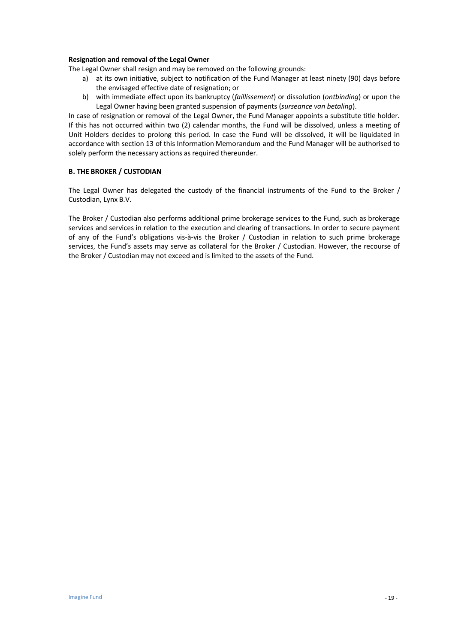#### **Resignation and removal of the Legal Owner**

The Legal Owner shall resign and may be removed on the following grounds:

- a) at its own initiative, subject to notification of the Fund Manager at least ninety (90) days before the envisaged effective date of resignation; or
- b) with immediate effect upon its bankruptcy (*faillissement*) or dissolution (*ontbinding*) or upon the Legal Owner having been granted suspension of payments (*surseance van betaling*).

In case of resignation or removal of the Legal Owner, the Fund Manager appoints a substitute title holder. If this has not occurred within two (2) calendar months, the Fund will be dissolved, unless a meeting of Unit Holders decides to prolong this period. In case the Fund will be dissolved, it will be liquidated in accordance with section 13 of this Information Memorandum and the Fund Manager will be authorised to solely perform the necessary actions as required thereunder.

#### **B. THE BROKER / CUSTODIAN**

The Legal Owner has delegated the custody of the financial instruments of the Fund to the Broker / Custodian, Lynx B.V.

The Broker / Custodian also performs additional prime brokerage services to the Fund, such as brokerage services and services in relation to the execution and clearing of transactions. In order to secure payment of any of the Fund's obligations vis-à-vis the Broker / Custodian in relation to such prime brokerage services, the Fund's assets may serve as collateral for the Broker / Custodian. However, the recourse of the Broker / Custodian may not exceed and is limited to the assets of the Fund.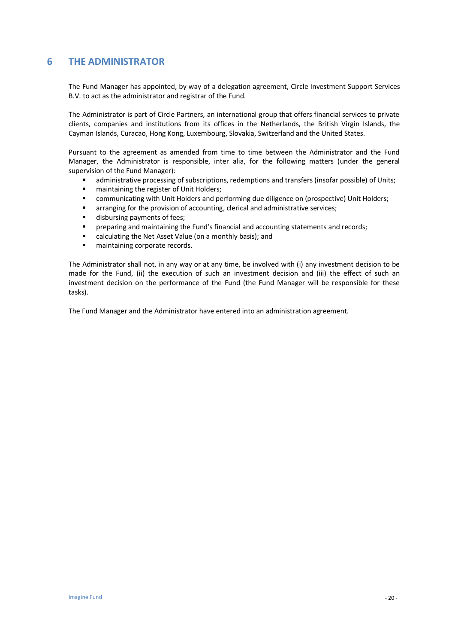# **6 THE ADMINISTRATOR**

The Fund Manager has appointed, by way of a delegation agreement, Circle Investment Support Services B.V. to act as the administrator and registrar of the Fund.

The Administrator is part of Circle Partners, an international group that offers financial services to private clients, companies and institutions from its offices in the Netherlands, the British Virgin Islands, the Cayman Islands, Curacao, Hong Kong, Luxembourg, Slovakia, Switzerland and the United States.

Pursuant to the agreement as amended from time to time between the Administrator and the Fund Manager, the Administrator is responsible, inter alia, for the following matters (under the general supervision of the Fund Manager):

- administrative processing of subscriptions, redemptions and transfers (insofar possible) of Units;
- maintaining the register of Unit Holders;<br>■ communicating with Unit Holders and ne
- communicating with Unit Holders and performing due diligence on (prospective) Unit Holders;
- **E** arranging for the provision of accounting, clerical and administrative services;
- disbursing payments of fees;
- preparing and maintaining the Fund's financial and accounting statements and records;
- calculating the Net Asset Value (on a monthly basis); and
- maintaining corporate records.

The Administrator shall not, in any way or at any time, be involved with (i) any investment decision to be made for the Fund, (ii) the execution of such an investment decision and (iii) the effect of such an investment decision on the performance of the Fund (the Fund Manager will be responsible for these tasks).

The Fund Manager and the Administrator have entered into an administration agreement.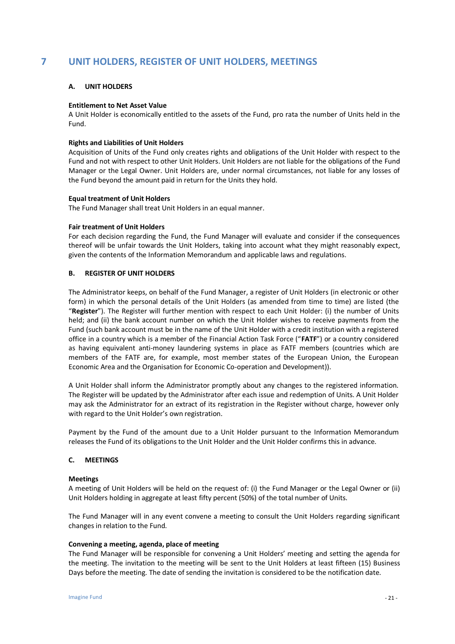# **7 UNIT HOLDERS, REGISTER OF UNIT HOLDERS, MEETINGS**

#### **A. UNIT HOLDERS**

#### **Entitlement to Net Asset Value**

A Unit Holder is economically entitled to the assets of the Fund, pro rata the number of Units held in the Fund.

#### **Rights and Liabilities of Unit Holders**

Acquisition of Units of the Fund only creates rights and obligations of the Unit Holder with respect to the Fund and not with respect to other Unit Holders. Unit Holders are not liable for the obligations of the Fund Manager or the Legal Owner. Unit Holders are, under normal circumstances, not liable for any losses of the Fund beyond the amount paid in return for the Units they hold.

#### **Equal treatment of Unit Holders**

The Fund Manager shall treat Unit Holders in an equal manner.

#### **Fair treatment of Unit Holders**

For each decision regarding the Fund, the Fund Manager will evaluate and consider if the consequences thereof will be unfair towards the Unit Holders, taking into account what they might reasonably expect, given the contents of the Information Memorandum and applicable laws and regulations.

#### **B. REGISTER OF UNIT HOLDERS**

The Administrator keeps, on behalf of the Fund Manager, a register of Unit Holders (in electronic or other form) in which the personal details of the Unit Holders (as amended from time to time) are listed (the "**Register**"). The Register will further mention with respect to each Unit Holder: (i) the number of Units held; and (ii) the bank account number on which the Unit Holder wishes to receive payments from the Fund (such bank account must be in the name of the Unit Holder with a credit institution with a registered office in a country which is a member of the Financial Action Task Force ("**FATF**") or a country considered as having equivalent anti-money laundering systems in place as FATF members (countries which are members of the FATF are, for example, most member states of the European Union, the European Economic Area and the Organisation for Economic Co-operation and Development)).

A Unit Holder shall inform the Administrator promptly about any changes to the registered information. The Register will be updated by the Administrator after each issue and redemption of Units. A Unit Holder may ask the Administrator for an extract of its registration in the Register without charge, however only with regard to the Unit Holder's own registration.

Payment by the Fund of the amount due to a Unit Holder pursuant to the Information Memorandum releases the Fund of its obligations to the Unit Holder and the Unit Holder confirms this in advance.

#### **C. MEETINGS**

#### **Meetings**

A meeting of Unit Holders will be held on the request of: (i) the Fund Manager or the Legal Owner or (ii) Unit Holders holding in aggregate at least fifty percent (50%) of the total number of Units.

The Fund Manager will in any event convene a meeting to consult the Unit Holders regarding significant changes in relation to the Fund.

#### **Convening a meeting, agenda, place of meeting**

The Fund Manager will be responsible for convening a Unit Holders' meeting and setting the agenda for the meeting. The invitation to the meeting will be sent to the Unit Holders at least fifteen (15) Business Days before the meeting. The date of sending the invitation is considered to be the notification date.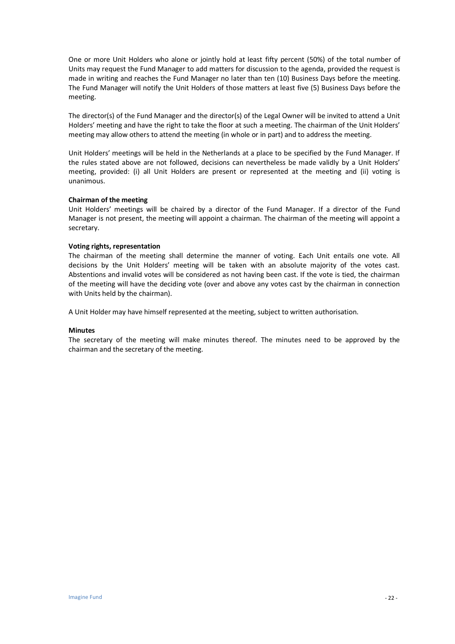One or more Unit Holders who alone or jointly hold at least fifty percent (50%) of the total number of Units may request the Fund Manager to add matters for discussion to the agenda, provided the request is made in writing and reaches the Fund Manager no later than ten (10) Business Days before the meeting. The Fund Manager will notify the Unit Holders of those matters at least five (5) Business Days before the meeting.

The director(s) of the Fund Manager and the director(s) of the Legal Owner will be invited to attend a Unit Holders' meeting and have the right to take the floor at such a meeting. The chairman of the Unit Holders' meeting may allow others to attend the meeting (in whole or in part) and to address the meeting.

Unit Holders' meetings will be held in the Netherlands at a place to be specified by the Fund Manager. If the rules stated above are not followed, decisions can nevertheless be made validly by a Unit Holders' meeting, provided: (i) all Unit Holders are present or represented at the meeting and (ii) voting is unanimous.

#### **Chairman of the meeting**

Unit Holders' meetings will be chaired by a director of the Fund Manager. If a director of the Fund Manager is not present, the meeting will appoint a chairman. The chairman of the meeting will appoint a secretary.

#### **Voting rights, representation**

The chairman of the meeting shall determine the manner of voting. Each Unit entails one vote. All decisions by the Unit Holders' meeting will be taken with an absolute majority of the votes cast. Abstentions and invalid votes will be considered as not having been cast. If the vote is tied, the chairman of the meeting will have the deciding vote (over and above any votes cast by the chairman in connection with Units held by the chairman).

A Unit Holder may have himself represented at the meeting, subject to written authorisation.

#### **Minutes**

The secretary of the meeting will make minutes thereof. The minutes need to be approved by the chairman and the secretary of the meeting.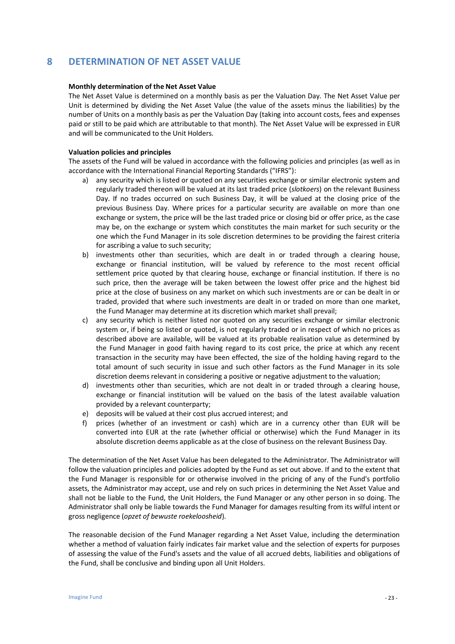# **8 DETERMINATION OF NET ASSET VALUE**

#### **Monthly determination of the Net Asset Value**

The Net Asset Value is determined on a monthly basis as per the Valuation Day. The Net Asset Value per Unit is determined by dividing the Net Asset Value (the value of the assets minus the liabilities) by the number of Units on a monthly basis as per the Valuation Day (taking into account costs, fees and expenses paid or still to be paid which are attributable to that month). The Net Asset Value will be expressed in EUR and will be communicated to the Unit Holders.

#### **Valuation policies and principles**

The assets of the Fund will be valued in accordance with the following policies and principles (as well as in accordance with the International Financial Reporting Standards ("IFRS"):

- a) any security which is listed or quoted on any securities exchange or similar electronic system and regularly traded thereon will be valued at its last traded price (*slotkoers*) on the relevant Business Day. If no trades occurred on such Business Day, it will be valued at the closing price of the previous Business Day. Where prices for a particular security are available on more than one exchange or system, the price will be the last traded price or closing bid or offer price, as the case may be, on the exchange or system which constitutes the main market for such security or the one which the Fund Manager in its sole discretion determines to be providing the fairest criteria for ascribing a value to such security;
- b) investments other than securities, which are dealt in or traded through a clearing house, exchange or financial institution, will be valued by reference to the most recent official settlement price quoted by that clearing house, exchange or financial institution. If there is no such price, then the average will be taken between the lowest offer price and the highest bid price at the close of business on any market on which such investments are or can be dealt in or traded, provided that where such investments are dealt in or traded on more than one market, the Fund Manager may determine at its discretion which market shall prevail;
- c) any security which is neither listed nor quoted on any securities exchange or similar electronic system or, if being so listed or quoted, is not regularly traded or in respect of which no prices as described above are available, will be valued at its probable realisation value as determined by the Fund Manager in good faith having regard to its cost price, the price at which any recent transaction in the security may have been effected, the size of the holding having regard to the total amount of such security in issue and such other factors as the Fund Manager in its sole discretion deems relevant in considering a positive or negative adjustment to the valuation;
- d) investments other than securities, which are not dealt in or traded through a clearing house, exchange or financial institution will be valued on the basis of the latest available valuation provided by a relevant counterparty;
- e) deposits will be valued at their cost plus accrued interest; and
- f) prices (whether of an investment or cash) which are in a currency other than EUR will be converted into EUR at the rate (whether official or otherwise) which the Fund Manager in its absolute discretion deems applicable as at the close of business on the relevant Business Day.

The determination of the Net Asset Value has been delegated to the Administrator. The Administrator will follow the valuation principles and policies adopted by the Fund as set out above. If and to the extent that the Fund Manager is responsible for or otherwise involved in the pricing of any of the Fund's portfolio assets, the Administrator may accept, use and rely on such prices in determining the Net Asset Value and shall not be liable to the Fund, the Unit Holders, the Fund Manager or any other person in so doing. The Administrator shall only be liable towards the Fund Manager for damages resulting from its wilful intent or gross negligence (*opzet of bewuste roekeloosheid*).

The reasonable decision of the Fund Manager regarding a Net Asset Value, including the determination whether a method of valuation fairly indicates fair market value and the selection of experts for purposes of assessing the value of the Fund's assets and the value of all accrued debts, liabilities and obligations of the Fund, shall be conclusive and binding upon all Unit Holders.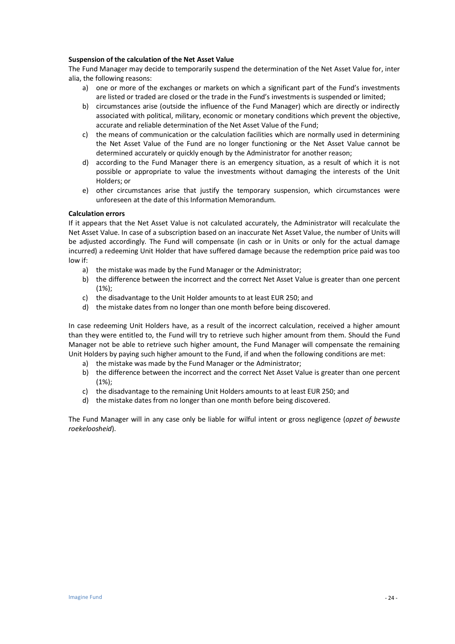#### **Suspension of the calculation of the Net Asset Value**

The Fund Manager may decide to temporarily suspend the determination of the Net Asset Value for, inter alia, the following reasons:

- a) one or more of the exchanges or markets on which a significant part of the Fund's investments are listed or traded are closed or the trade in the Fund's investments is suspended or limited;
- b) circumstances arise (outside the influence of the Fund Manager) which are directly or indirectly associated with political, military, economic or monetary conditions which prevent the objective, accurate and reliable determination of the Net Asset Value of the Fund;
- c) the means of communication or the calculation facilities which are normally used in determining the Net Asset Value of the Fund are no longer functioning or the Net Asset Value cannot be determined accurately or quickly enough by the Administrator for another reason;
- d) according to the Fund Manager there is an emergency situation, as a result of which it is not possible or appropriate to value the investments without damaging the interests of the Unit Holders; or
- e) other circumstances arise that justify the temporary suspension, which circumstances were unforeseen at the date of this Information Memorandum.

#### **Calculation errors**

If it appears that the Net Asset Value is not calculated accurately, the Administrator will recalculate the Net Asset Value. In case of a subscription based on an inaccurate Net Asset Value, the number of Units will be adjusted accordingly. The Fund will compensate (in cash or in Units or only for the actual damage incurred) a redeeming Unit Holder that have suffered damage because the redemption price paid was too low if:

- a) the mistake was made by the Fund Manager or the Administrator;
- b) the difference between the incorrect and the correct Net Asset Value is greater than one percent (1%);
- c) the disadvantage to the Unit Holder amounts to at least EUR 250; and
- d) the mistake dates from no longer than one month before being discovered.

In case redeeming Unit Holders have, as a result of the incorrect calculation, received a higher amount than they were entitled to, the Fund will try to retrieve such higher amount from them. Should the Fund Manager not be able to retrieve such higher amount, the Fund Manager will compensate the remaining Unit Holders by paying such higher amount to the Fund, if and when the following conditions are met:

- a) the mistake was made by the Fund Manager or the Administrator;
- b) the difference between the incorrect and the correct Net Asset Value is greater than one percent (1%);
- c) the disadvantage to the remaining Unit Holders amounts to at least EUR 250; and
- d) the mistake dates from no longer than one month before being discovered.

The Fund Manager will in any case only be liable for wilful intent or gross negligence (*opzet of bewuste roekeloosheid*).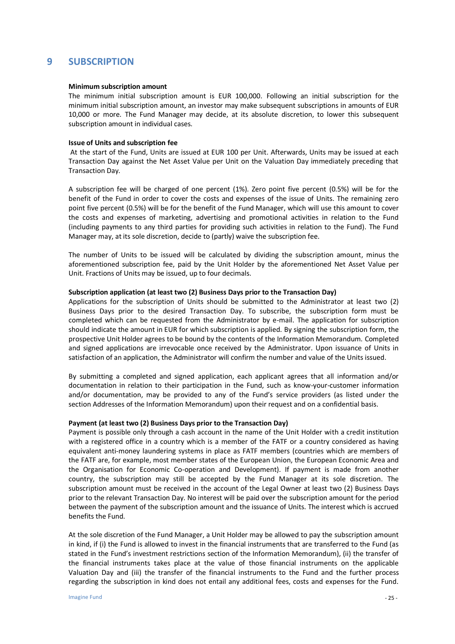### **9 SUBSCRIPTION**

#### **Minimum subscription amount**

The minimum initial subscription amount is EUR 100,000. Following an initial subscription for the minimum initial subscription amount, an investor may make subsequent subscriptions in amounts of EUR 10,000 or more. The Fund Manager may decide, at its absolute discretion, to lower this subsequent subscription amount in individual cases.

#### **Issue of Units and subscription fee**

At the start of the Fund, Units are issued at EUR 100 per Unit. Afterwards, Units may be issued at each Transaction Day against the Net Asset Value per Unit on the Valuation Day immediately preceding that Transaction Day.

A subscription fee will be charged of one percent (1%). Zero point five percent (0.5%) will be for the benefit of the Fund in order to cover the costs and expenses of the issue of Units. The remaining zero point five percent (0.5%) will be for the benefit of the Fund Manager, which will use this amount to cover the costs and expenses of marketing, advertising and promotional activities in relation to the Fund (including payments to any third parties for providing such activities in relation to the Fund). The Fund Manager may, at its sole discretion, decide to (partly) waive the subscription fee.

The number of Units to be issued will be calculated by dividing the subscription amount, minus the aforementioned subscription fee, paid by the Unit Holder by the aforementioned Net Asset Value per Unit. Fractions of Units may be issued, up to four decimals.

#### **Subscription application (at least two (2) Business Days prior to the Transaction Day)**

Applications for the subscription of Units should be submitted to the Administrator at least two (2) Business Days prior to the desired Transaction Day. To subscribe, the subscription form must be completed which can be requested from the Administrator by e-mail. The application for subscription should indicate the amount in EUR for which subscription is applied. By signing the subscription form, the prospective Unit Holder agrees to be bound by the contents of the Information Memorandum. Completed and signed applications are irrevocable once received by the Administrator. Upon issuance of Units in satisfaction of an application, the Administrator will confirm the number and value of the Units issued.

By submitting a completed and signed application, each applicant agrees that all information and/or documentation in relation to their participation in the Fund, such as know-your-customer information and/or documentation, may be provided to any of the Fund's service providers (as listed under the section Addresses of the Information Memorandum) upon their request and on a confidential basis.

#### **Payment (at least two (2) Business Days prior to the Transaction Day)**

Payment is possible only through a cash account in the name of the Unit Holder with a credit institution with a registered office in a country which is a member of the FATF or a country considered as having equivalent anti-money laundering systems in place as FATF members (countries which are members of the FATF are, for example, most member states of the European Union, the European Economic Area and the Organisation for Economic Co-operation and Development). If payment is made from another country, the subscription may still be accepted by the Fund Manager at its sole discretion. The subscription amount must be received in the account of the Legal Owner at least two (2) Business Days prior to the relevant Transaction Day. No interest will be paid over the subscription amount for the period between the payment of the subscription amount and the issuance of Units. The interest which is accrued benefits the Fund.

At the sole discretion of the Fund Manager, a Unit Holder may be allowed to pay the subscription amount in kind, if (i) the Fund is allowed to invest in the financial instruments that are transferred to the Fund (as stated in the Fund's investment restrictions section of the Information Memorandum), (ii) the transfer of the financial instruments takes place at the value of those financial instruments on the applicable Valuation Day and (iii) the transfer of the financial instruments to the Fund and the further process regarding the subscription in kind does not entail any additional fees, costs and expenses for the Fund.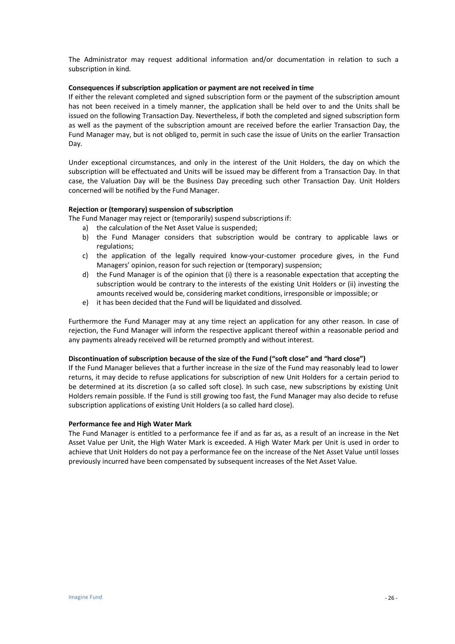The Administrator may request additional information and/or documentation in relation to such a subscription in kind.

#### **Consequences if subscription application or payment are not received in time**

If either the relevant completed and signed subscription form or the payment of the subscription amount has not been received in a timely manner, the application shall be held over to and the Units shall be issued on the following Transaction Day. Nevertheless, if both the completed and signed subscription form as well as the payment of the subscription amount are received before the earlier Transaction Day, the Fund Manager may, but is not obliged to, permit in such case the issue of Units on the earlier Transaction Day.

Under exceptional circumstances, and only in the interest of the Unit Holders, the day on which the subscription will be effectuated and Units will be issued may be different from a Transaction Day. In that case, the Valuation Day will be the Business Day preceding such other Transaction Day. Unit Holders concerned will be notified by the Fund Manager.

#### **Rejection or (temporary) suspension of subscription**

The Fund Manager may reject or (temporarily) suspend subscriptions if:

- a) the calculation of the Net Asset Value is suspended;
- b) the Fund Manager considers that subscription would be contrary to applicable laws or regulations;
- c) the application of the legally required know-your-customer procedure gives, in the Fund Managers' opinion, reason for such rejection or (temporary) suspension;
- d) the Fund Manager is of the opinion that (i) there is a reasonable expectation that accepting the subscription would be contrary to the interests of the existing Unit Holders or (ii) investing the amounts received would be, considering market conditions, irresponsible or impossible; or
- e) it has been decided that the Fund will be liquidated and dissolved.

Furthermore the Fund Manager may at any time reject an application for any other reason. In case of rejection, the Fund Manager will inform the respective applicant thereof within a reasonable period and any payments already received will be returned promptly and without interest.

#### **Discontinuation of subscription because of the size of the Fund ("soft close" and "hard close")**

If the Fund Manager believes that a further increase in the size of the Fund may reasonably lead to lower returns, it may decide to refuse applications for subscription of new Unit Holders for a certain period to be determined at its discretion (a so called soft close). In such case, new subscriptions by existing Unit Holders remain possible. If the Fund is still growing too fast, the Fund Manager may also decide to refuse subscription applications of existing Unit Holders (a so called hard close).

#### **Performance fee and High Water Mark**

The Fund Manager is entitled to a performance fee if and as far as, as a result of an increase in the Net Asset Value per Unit, the High Water Mark is exceeded. A High Water Mark per Unit is used in order to achieve that Unit Holders do not pay a performance fee on the increase of the Net Asset Value until losses previously incurred have been compensated by subsequent increases of the Net Asset Value.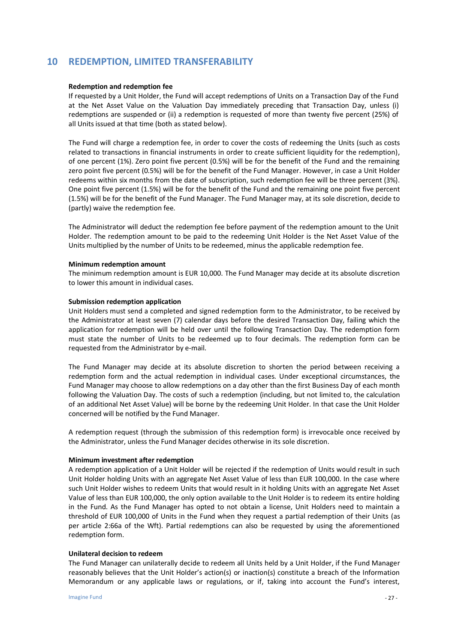## **10 REDEMPTION, LIMITED TRANSFERABILITY**

#### **Redemption and redemption fee**

If requested by a Unit Holder, the Fund will accept redemptions of Units on a Transaction Day of the Fund at the Net Asset Value on the Valuation Day immediately preceding that Transaction Day, unless (i) redemptions are suspended or (ii) a redemption is requested of more than twenty five percent (25%) of all Units issued at that time (both as stated below).

The Fund will charge a redemption fee, in order to cover the costs of redeeming the Units (such as costs related to transactions in financial instruments in order to create sufficient liquidity for the redemption), of one percent (1%). Zero point five percent (0.5%) will be for the benefit of the Fund and the remaining zero point five percent (0.5%) will be for the benefit of the Fund Manager. However, in case a Unit Holder redeems within six months from the date of subscription, such redemption fee will be three percent (3%). One point five percent (1.5%) will be for the benefit of the Fund and the remaining one point five percent (1.5%) will be for the benefit of the Fund Manager. The Fund Manager may, at its sole discretion, decide to (partly) waive the redemption fee.

The Administrator will deduct the redemption fee before payment of the redemption amount to the Unit Holder. The redemption amount to be paid to the redeeming Unit Holder is the Net Asset Value of the Units multiplied by the number of Units to be redeemed, minus the applicable redemption fee.

#### **Minimum redemption amount**

The minimum redemption amount is EUR 10,000. The Fund Manager may decide at its absolute discretion to lower this amount in individual cases.

#### **Submission redemption application**

Unit Holders must send a completed and signed redemption form to the Administrator, to be received by the Administrator at least seven (7) calendar days before the desired Transaction Day, failing which the application for redemption will be held over until the following Transaction Day. The redemption form must state the number of Units to be redeemed up to four decimals. The redemption form can be requested from the Administrator by e-mail.

The Fund Manager may decide at its absolute discretion to shorten the period between receiving a redemption form and the actual redemption in individual cases. Under exceptional circumstances, the Fund Manager may choose to allow redemptions on a day other than the first Business Day of each month following the Valuation Day. The costs of such a redemption (including, but not limited to, the calculation of an additional Net Asset Value) will be borne by the redeeming Unit Holder. In that case the Unit Holder concerned will be notified by the Fund Manager.

A redemption request (through the submission of this redemption form) is irrevocable once received by the Administrator, unless the Fund Manager decides otherwise in its sole discretion.

#### **Minimum investment after redemption**

A redemption application of a Unit Holder will be rejected if the redemption of Units would result in such Unit Holder holding Units with an aggregate Net Asset Value of less than EUR 100,000. In the case where such Unit Holder wishes to redeem Units that would result in it holding Units with an aggregate Net Asset Value of less than EUR 100,000, the only option available to the Unit Holder is to redeem its entire holding in the Fund. As the Fund Manager has opted to not obtain a license, Unit Holders need to maintain a threshold of EUR 100,000 of Units in the Fund when they request a partial redemption of their Units (as per article 2:66a of the Wft). Partial redemptions can also be requested by using the aforementioned redemption form.

#### **Unilateral decision to redeem**

The Fund Manager can unilaterally decide to redeem all Units held by a Unit Holder, if the Fund Manager reasonably believes that the Unit Holder's action(s) or inaction(s) constitute a breach of the Information Memorandum or any applicable laws or regulations, or if, taking into account the Fund's interest,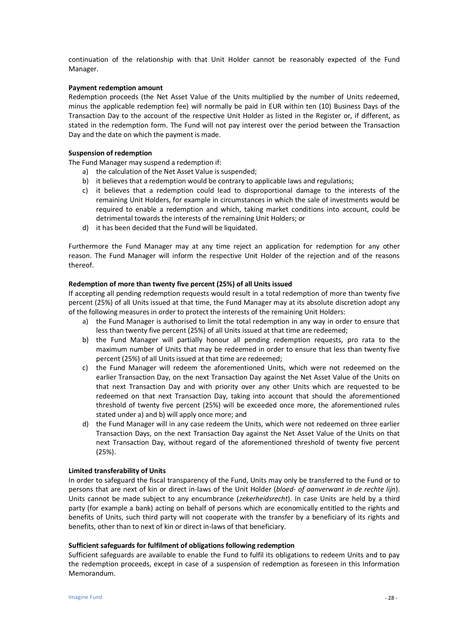continuation of the relationship with that Unit Holder cannot be reasonably expected of the Fund Manager.

#### **Payment redemption amount**

Redemption proceeds (the Net Asset Value of the Units multiplied by the number of Units redeemed, minus the applicable redemption fee) will normally be paid in EUR within ten (10) Business Days of the Transaction Day to the account of the respective Unit Holder as listed in the Register or, if different, as stated in the redemption form. The Fund will not pay interest over the period between the Transaction Day and the date on which the payment is made.

#### **Suspension of redemption**

The Fund Manager may suspend a redemption if:

- a) the calculation of the Net Asset Value is suspended;
- b) it believes that a redemption would be contrary to applicable laws and regulations;
- c) it believes that a redemption could lead to disproportional damage to the interests of the remaining Unit Holders, for example in circumstances in which the sale of investments would be required to enable a redemption and which, taking market conditions into account, could be detrimental towards the interests of the remaining Unit Holders; or
- d) it has been decided that the Fund will be liquidated.

Furthermore the Fund Manager may at any time reject an application for redemption for any other reason. The Fund Manager will inform the respective Unit Holder of the rejection and of the reasons thereof.

#### **Redemption of more than twenty five percent (25%) of all Units issued**

If accepting all pending redemption requests would result in a total redemption of more than twenty five percent (25%) of all Units issued at that time, the Fund Manager may at its absolute discretion adopt any of the following measures in order to protect the interests of the remaining Unit Holders:

- a) the Fund Manager is authorised to limit the total redemption in any way in order to ensure that less than twenty five percent (25%) of all Units issued at that time are redeemed;
- b) the Fund Manager will partially honour all pending redemption requests, pro rata to the maximum number of Units that may be redeemed in order to ensure that less than twenty five percent (25%) of all Units issued at that time are redeemed;
- c) the Fund Manager will redeem the aforementioned Units, which were not redeemed on the earlier Transaction Day, on the next Transaction Day against the Net Asset Value of the Units on that next Transaction Day and with priority over any other Units which are requested to be redeemed on that next Transaction Day, taking into account that should the aforementioned threshold of twenty five percent (25%) will be exceeded once more, the aforementioned rules stated under a) and b) will apply once more; and
- d) the Fund Manager will in any case redeem the Units, which were not redeemed on three earlier Transaction Days, on the next Transaction Day against the Net Asset Value of the Units on that next Transaction Day, without regard of the aforementioned threshold of twenty five percent (25%).

#### **Limited transferability of Units**

In order to safeguard the fiscal transparency of the Fund, Units may only be transferred to the Fund or to persons that are next of kin or direct in-laws of the Unit Holder (*bloed- of aanverwant in de rechte lijn*). Units cannot be made subject to any encumbrance (*zekerheidsrecht*). In case Units are held by a third party (for example a bank) acting on behalf of persons which are economically entitled to the rights and benefits of Units, such third party will not cooperate with the transfer by a beneficiary of its rights and benefits, other than to next of kin or direct in-laws of that beneficiary.

#### **Sufficient safeguards for fulfilment of obligations following redemption**

Sufficient safeguards are available to enable the Fund to fulfil its obligations to redeem Units and to pay the redemption proceeds, except in case of a suspension of redemption as foreseen in this Information Memorandum.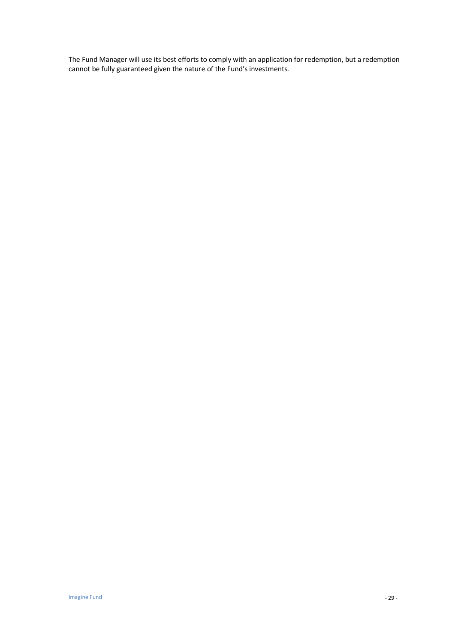The Fund Manager will use its best efforts to comply with an application for redemption, but a redemption cannot be fully guaranteed given the nature of the Fund's investments.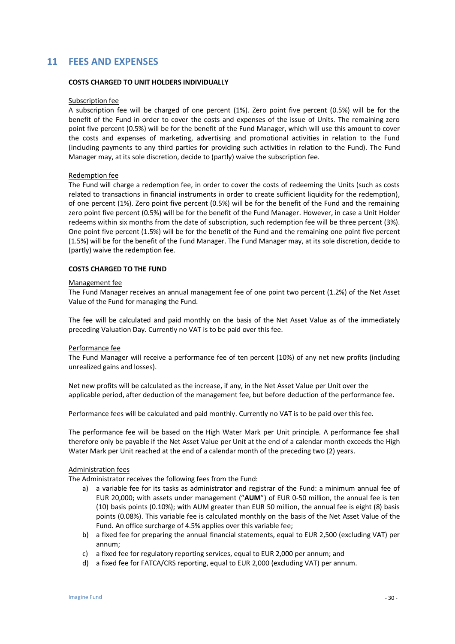## **11 FEES AND EXPENSES**

#### **COSTS CHARGED TO UNIT HOLDERS INDIVIDUALLY**

#### Subscription fee

A subscription fee will be charged of one percent (1%). Zero point five percent (0.5%) will be for the benefit of the Fund in order to cover the costs and expenses of the issue of Units. The remaining zero point five percent (0.5%) will be for the benefit of the Fund Manager, which will use this amount to cover the costs and expenses of marketing, advertising and promotional activities in relation to the Fund (including payments to any third parties for providing such activities in relation to the Fund). The Fund Manager may, at its sole discretion, decide to (partly) waive the subscription fee.

#### Redemption fee

The Fund will charge a redemption fee, in order to cover the costs of redeeming the Units (such as costs related to transactions in financial instruments in order to create sufficient liquidity for the redemption), of one percent (1%). Zero point five percent (0.5%) will be for the benefit of the Fund and the remaining zero point five percent (0.5%) will be for the benefit of the Fund Manager. However, in case a Unit Holder redeems within six months from the date of subscription, such redemption fee will be three percent (3%). One point five percent (1.5%) will be for the benefit of the Fund and the remaining one point five percent (1.5%) will be for the benefit of the Fund Manager. The Fund Manager may, at its sole discretion, decide to (partly) waive the redemption fee.

#### **COSTS CHARGED TO THE FUND**

#### Management fee

The Fund Manager receives an annual management fee of one point two percent (1.2%) of the Net Asset Value of the Fund for managing the Fund.

The fee will be calculated and paid monthly on the basis of the Net Asset Value as of the immediately preceding Valuation Day. Currently no VAT is to be paid over this fee.

#### Performance fee

The Fund Manager will receive a performance fee of ten percent (10%) of any net new profits (including unrealized gains and losses).

Net new profits will be calculated as the increase, if any, in the Net Asset Value per Unit over the applicable period, after deduction of the management fee, but before deduction of the performance fee.

Performance fees will be calculated and paid monthly. Currently no VAT is to be paid over this fee.

The performance fee will be based on the High Water Mark per Unit principle. A performance fee shall therefore only be payable if the Net Asset Value per Unit at the end of a calendar month exceeds the High Water Mark per Unit reached at the end of a calendar month of the preceding two (2) years.

#### Administration fees

The Administrator receives the following fees from the Fund:

- a) a variable fee for its tasks as administrator and registrar of the Fund: a minimum annual fee of EUR 20,000; with assets under management ("**AUM**") of EUR 0-50 million, the annual fee is ten (10) basis points (0.10%); with AUM greater than EUR 50 million, the annual fee is eight (8) basis points (0.08%). This variable fee is calculated monthly on the basis of the Net Asset Value of the Fund. An office surcharge of 4.5% applies over this variable fee;
- b) a fixed fee for preparing the annual financial statements, equal to EUR 2,500 (excluding VAT) per annum;
- c) a fixed fee for regulatory reporting services, equal to EUR 2,000 per annum; and
- d) a fixed fee for FATCA/CRS reporting, equal to EUR 2,000 (excluding VAT) per annum.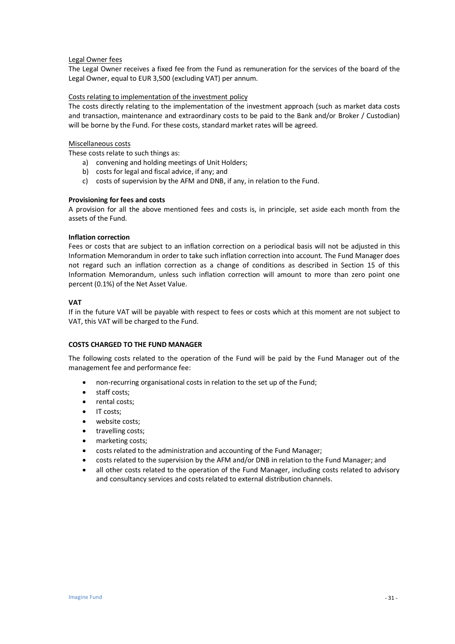#### Legal Owner fees

The Legal Owner receives a fixed fee from the Fund as remuneration for the services of the board of the Legal Owner, equal to EUR 3,500 (excluding VAT) per annum.

#### Costs relating to implementation of the investment policy

The costs directly relating to the implementation of the investment approach (such as market data costs and transaction, maintenance and extraordinary costs to be paid to the Bank and/or Broker / Custodian) will be borne by the Fund. For these costs, standard market rates will be agreed.

#### Miscellaneous costs

These costs relate to such things as:

- a) convening and holding meetings of Unit Holders;
- b) costs for legal and fiscal advice, if any; and
- c) costs of supervision by the AFM and DNB, if any, in relation to the Fund.

#### **Provisioning for fees and costs**

A provision for all the above mentioned fees and costs is, in principle, set aside each month from the assets of the Fund.

#### **Inflation correction**

Fees or costs that are subject to an inflation correction on a periodical basis will not be adjusted in this Information Memorandum in order to take such inflation correction into account. The Fund Manager does not regard such an inflation correction as a change of conditions as described in Section 15 of this Information Memorandum, unless such inflation correction will amount to more than zero point one percent (0.1%) of the Net Asset Value.

#### **VAT**

If in the future VAT will be payable with respect to fees or costs which at this moment are not subject to VAT, this VAT will be charged to the Fund.

#### **COSTS CHARGED TO THE FUND MANAGER**

The following costs related to the operation of the Fund will be paid by the Fund Manager out of the management fee and performance fee:

- non-recurring organisational costs in relation to the set up of the Fund;
- staff costs;
- rental costs;
- IT costs;
- website costs;
- travelling costs;
- marketing costs;
- costs related to the administration and accounting of the Fund Manager;
- costs related to the supervision by the AFM and/or DNB in relation to the Fund Manager; and
- all other costs related to the operation of the Fund Manager, including costs related to advisory and consultancy services and costs related to external distribution channels.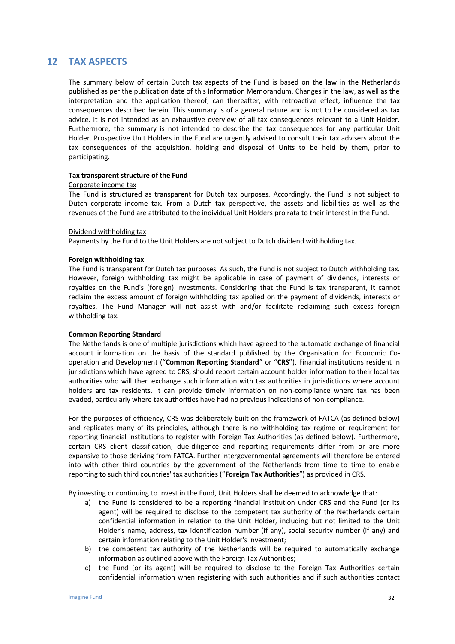## **12 TAX ASPECTS**

The summary below of certain Dutch tax aspects of the Fund is based on the law in the Netherlands published as per the publication date of this Information Memorandum. Changes in the law, as well as the interpretation and the application thereof, can thereafter, with retroactive effect, influence the tax consequences described herein. This summary is of a general nature and is not to be considered as tax advice. It is not intended as an exhaustive overview of all tax consequences relevant to a Unit Holder. Furthermore, the summary is not intended to describe the tax consequences for any particular Unit Holder. Prospective Unit Holders in the Fund are urgently advised to consult their tax advisers about the tax consequences of the acquisition, holding and disposal of Units to be held by them, prior to participating.

#### **Tax transparent structure of the Fund**

#### Corporate income tax

The Fund is structured as transparent for Dutch tax purposes. Accordingly, the Fund is not subject to Dutch corporate income tax. From a Dutch tax perspective, the assets and liabilities as well as the revenues of the Fund are attributed to the individual Unit Holders pro rata to their interest in the Fund.

#### Dividend withholding tax

Payments by the Fund to the Unit Holders are not subject to Dutch dividend withholding tax.

#### **Foreign withholding tax**

The Fund is transparent for Dutch tax purposes. As such, the Fund is not subject to Dutch withholding tax. However, foreign withholding tax might be applicable in case of payment of dividends, interests or royalties on the Fund's (foreign) investments. Considering that the Fund is tax transparent, it cannot reclaim the excess amount of foreign withholding tax applied on the payment of dividends, interests or royalties. The Fund Manager will not assist with and/or facilitate reclaiming such excess foreign withholding tax.

#### **Common Reporting Standard**

The Netherlands is one of multiple jurisdictions which have agreed to the automatic exchange of financial account information on the basis of the standard published by the Organisation for Economic Cooperation and Development ("**Common Reporting Standard**" or "**CRS**"). Financial institutions resident in jurisdictions which have agreed to CRS, should report certain account holder information to their local tax authorities who will then exchange such information with tax authorities in jurisdictions where account holders are tax residents. It can provide timely information on non-compliance where tax has been evaded, particularly where tax authorities have had no previous indications of non-compliance.

For the purposes of efficiency, CRS was deliberately built on the framework of FATCA (as defined below) and replicates many of its principles, although there is no withholding tax regime or requirement for reporting financial institutions to register with Foreign Tax Authorities (as defined below). Furthermore, certain CRS client classification, due-diligence and reporting requirements differ from or are more expansive to those deriving from FATCA. Further intergovernmental agreements will therefore be entered into with other third countries by the government of the Netherlands from time to time to enable reporting to such third countries' tax authorities ("**Foreign Tax Authorities**") as provided in CRS.

By investing or continuing to invest in the Fund, Unit Holders shall be deemed to acknowledge that:

- a) the Fund is considered to be a reporting financial institution under CRS and the Fund (or its agent) will be required to disclose to the competent tax authority of the Netherlands certain confidential information in relation to the Unit Holder, including but not limited to the Unit Holder's name, address, tax identification number (if any), social security number (if any) and certain information relating to the Unit Holder's investment;
- b) the competent tax authority of the Netherlands will be required to automatically exchange information as outlined above with the Foreign Tax Authorities;
- c) the Fund (or its agent) will be required to disclose to the Foreign Tax Authorities certain confidential information when registering with such authorities and if such authorities contact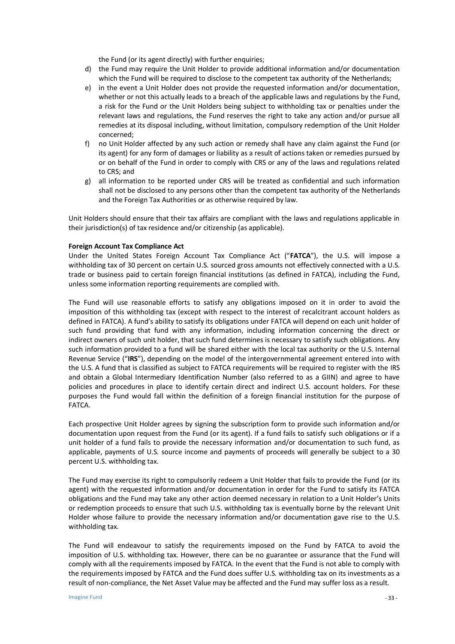the Fund (or its agent directly) with further enquiries;

- d) the Fund may require the Unit Holder to provide additional information and/or documentation which the Fund will be required to disclose to the competent tax authority of the Netherlands;
- e) in the event a Unit Holder does not provide the requested information and/or documentation, whether or not this actually leads to a breach of the applicable laws and regulations by the Fund, a risk for the Fund or the Unit Holders being subject to withholding tax or penalties under the relevant laws and regulations, the Fund reserves the right to take any action and/or pursue all remedies at its disposal including, without limitation, compulsory redemption of the Unit Holder concerned;
- f) no Unit Holder affected by any such action or remedy shall have any claim against the Fund (or its agent) for any form of damages or liability as a result of actions taken or remedies pursued by or on behalf of the Fund in order to comply with CRS or any of the laws and regulations related to CRS; and
- g) all information to be reported under CRS will be treated as confidential and such information shall not be disclosed to any persons other than the competent tax authority of the Netherlands and the Foreign Tax Authorities or as otherwise required by law.

Unit Holders should ensure that their tax affairs are compliant with the laws and regulations applicable in their jurisdiction(s) of tax residence and/or citizenship (as applicable).

#### **Foreign Account Tax Compliance Act**

Under the United States Foreign Account Tax Compliance Act ("**FATCA**"), the U.S. will impose a withholding tax of 30 percent on certain U.S. sourced gross amounts not effectively connected with a U.S. trade or business paid to certain foreign financial institutions (as defined in FATCA), including the Fund, unless some information reporting requirements are complied with.

The Fund will use reasonable efforts to satisfy any obligations imposed on it in order to avoid the imposition of this withholding tax (except with respect to the interest of recalcitrant account holders as defined in FATCA). A fund's ability to satisfy its obligations under FATCA will depend on each unit holder of such fund providing that fund with any information, including information concerning the direct or indirect owners of such unit holder, that such fund determines is necessary to satisfy such obligations. Any such information provided to a fund will be shared either with the local tax authority or the U.S. Internal Revenue Service ("**IRS**"), depending on the model of the intergovernmental agreement entered into with the U.S. A fund that is classified as subject to FATCA requirements will be required to register with the IRS and obtain a Global Intermediary Identification Number (also referred to as a GIIN) and agree to have policies and procedures in place to identify certain direct and indirect U.S. account holders. For these purposes the Fund would fall within the definition of a foreign financial institution for the purpose of FATCA.

Each prospective Unit Holder agrees by signing the subscription form to provide such information and/or documentation upon request from the Fund (or its agent). If a fund fails to satisfy such obligations or if a unit holder of a fund fails to provide the necessary information and/or documentation to such fund, as applicable, payments of U.S. source income and payments of proceeds will generally be subject to a 30 percent U.S. withholding tax.

The Fund may exercise its right to compulsorily redeem a Unit Holder that fails to provide the Fund (or its agent) with the requested information and/or documentation in order for the Fund to satisfy its FATCA obligations and the Fund may take any other action deemed necessary in relation to a Unit Holder's Units or redemption proceeds to ensure that such U.S. withholding tax is eventually borne by the relevant Unit Holder whose failure to provide the necessary information and/or documentation gave rise to the U.S. withholding tax.

The Fund will endeavour to satisfy the requirements imposed on the Fund by FATCA to avoid the imposition of U.S. withholding tax. However, there can be no guarantee or assurance that the Fund will comply with all the requirements imposed by FATCA. In the event that the Fund is not able to comply with the requirements imposed by FATCA and the Fund does suffer U.S. withholding tax on its investments as a result of non-compliance, the Net Asset Value may be affected and the Fund may suffer loss as a result.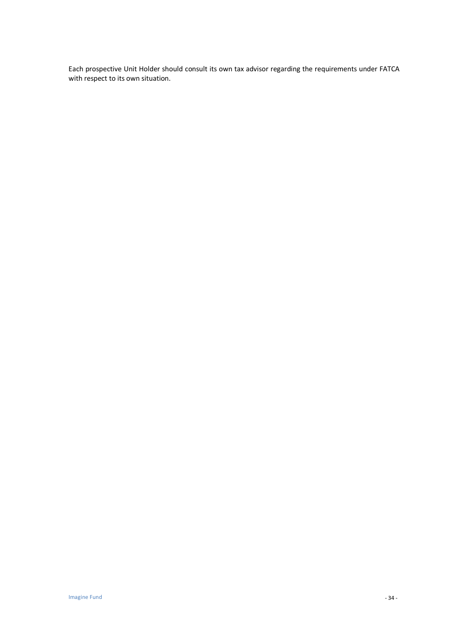Each prospective Unit Holder should consult its own tax advisor regarding the requirements under FATCA with respect to its own situation.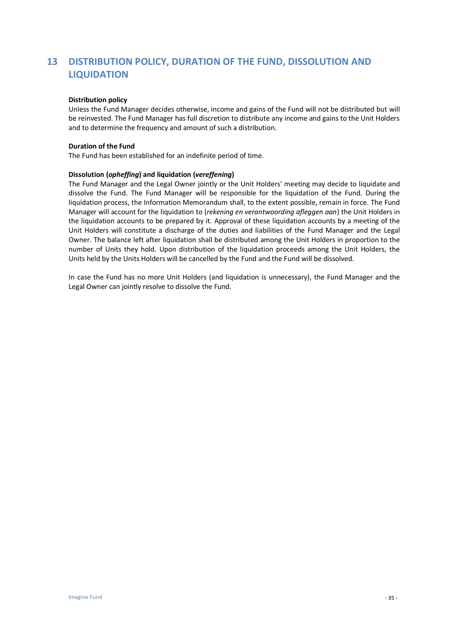# **13 DISTRIBUTION POLICY, DURATION OF THE FUND, DISSOLUTION AND LIQUIDATION**

#### **Distribution policy**

Unless the Fund Manager decides otherwise, income and gains of the Fund will not be distributed but will be reinvested. The Fund Manager has full discretion to distribute any income and gains to the Unit Holders and to determine the frequency and amount of such a distribution.

#### **Duration of the Fund**

The Fund has been established for an indefinite period of time.

#### **Dissolution (***opheffing***) and liquidation (***vereffening***)**

The Fund Manager and the Legal Owner jointly or the Unit Holders' meeting may decide to liquidate and dissolve the Fund. The Fund Manager will be responsible for the liquidation of the Fund. During the liquidation process, the Information Memorandum shall, to the extent possible, remain in force. The Fund Manager will account for the liquidation to (*rekening en verantwoording afleggen aan*) the Unit Holders in the liquidation accounts to be prepared by it. Approval of these liquidation accounts by a meeting of the Unit Holders will constitute a discharge of the duties and liabilities of the Fund Manager and the Legal Owner. The balance left after liquidation shall be distributed among the Unit Holders in proportion to the number of Units they hold. Upon distribution of the liquidation proceeds among the Unit Holders, the Units held by the Units Holders will be cancelled by the Fund and the Fund will be dissolved.

In case the Fund has no more Unit Holders (and liquidation is unnecessary), the Fund Manager and the Legal Owner can jointly resolve to dissolve the Fund.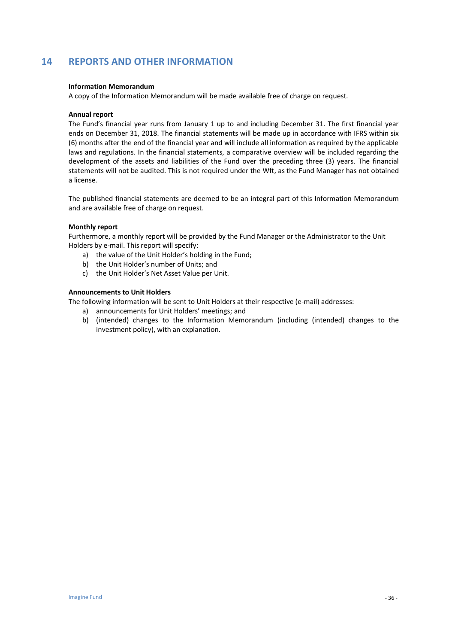# **14 REPORTS AND OTHER INFORMATION**

#### **Information Memorandum**

A copy of the Information Memorandum will be made available free of charge on request.

#### **Annual report**

The Fund's financial year runs from January 1 up to and including December 31. The first financial year ends on December 31, 2018. The financial statements will be made up in accordance with IFRS within six (6) months after the end of the financial year and will include all information as required by the applicable laws and regulations. In the financial statements, a comparative overview will be included regarding the development of the assets and liabilities of the Fund over the preceding three (3) years. The financial statements will not be audited. This is not required under the Wft, as the Fund Manager has not obtained a license.

The published financial statements are deemed to be an integral part of this Information Memorandum and are available free of charge on request.

#### **Monthly report**

Furthermore, a monthly report will be provided by the Fund Manager or the Administrator to the Unit Holders by e-mail. This report will specify:

- a) the value of the Unit Holder's holding in the Fund;
- b) the Unit Holder's number of Units; and
- c) the Unit Holder's Net Asset Value per Unit.

#### **Announcements to Unit Holders**

The following information will be sent to Unit Holders at their respective (e-mail) addresses:

- a) announcements for Unit Holders' meetings; and
- b) (intended) changes to the Information Memorandum (including (intended) changes to the investment policy), with an explanation.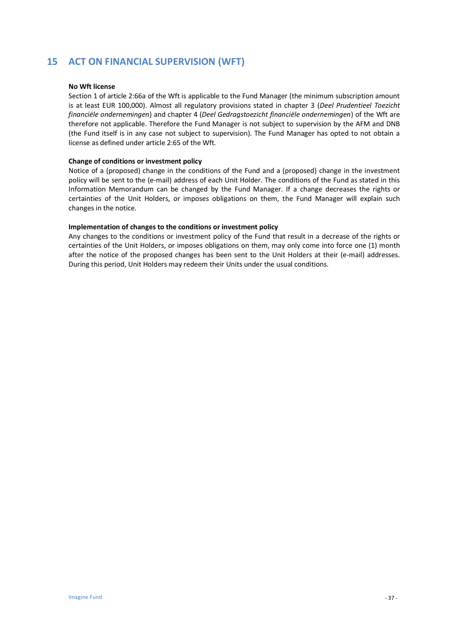# **15 ACT ON FINANCIAL SUPERVISION (WFT)**

#### **No Wft license**

Section 1 of article 2:66a of the Wft is applicable to the Fund Manager (the minimum subscription amount is at least EUR 100,000). Almost all regulatory provisions stated in chapter 3 (*Deel Prudentieel Toezicht financiële ondernemingen*) and chapter 4 (*Deel Gedragstoezicht financiële ondernemingen*) of the Wft are therefore not applicable. Therefore the Fund Manager is not subject to supervision by the AFM and DNB (the Fund itself is in any case not subject to supervision). The Fund Manager has opted to not obtain a license as defined under article 2:65 of the Wft.

#### **Change of conditions or investment policy**

Notice of a (proposed) change in the conditions of the Fund and a (proposed) change in the investment policy will be sent to the (e-mail) address of each Unit Holder. The conditions of the Fund as stated in this Information Memorandum can be changed by the Fund Manager. If a change decreases the rights or certainties of the Unit Holders, or imposes obligations on them, the Fund Manager will explain such changes in the notice.

#### **Implementation of changes to the conditions or investment policy**

Any changes to the conditions or investment policy of the Fund that result in a decrease of the rights or certainties of the Unit Holders, or imposes obligations on them, may only come into force one (1) month after the notice of the proposed changes has been sent to the Unit Holders at their (e-mail) addresses. During this period, Unit Holders may redeem their Units under the usual conditions.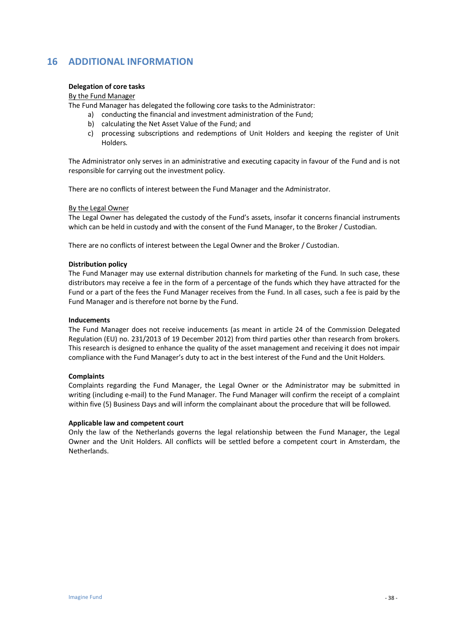# **16 ADDITIONAL INFORMATION**

#### **Delegation of core tasks**

#### By the Fund Manager

The Fund Manager has delegated the following core tasks to the Administrator:

- a) conducting the financial and investment administration of the Fund;
	- b) calculating the Net Asset Value of the Fund; and
	- c) processing subscriptions and redemptions of Unit Holders and keeping the register of Unit Holders.

The Administrator only serves in an administrative and executing capacity in favour of the Fund and is not responsible for carrying out the investment policy.

There are no conflicts of interest between the Fund Manager and the Administrator.

#### By the Legal Owner

The Legal Owner has delegated the custody of the Fund's assets, insofar it concerns financial instruments which can be held in custody and with the consent of the Fund Manager, to the Broker / Custodian.

There are no conflicts of interest between the Legal Owner and the Broker / Custodian.

#### **Distribution policy**

The Fund Manager may use external distribution channels for marketing of the Fund. In such case, these distributors may receive a fee in the form of a percentage of the funds which they have attracted for the Fund or a part of the fees the Fund Manager receives from the Fund. In all cases, such a fee is paid by the Fund Manager and is therefore not borne by the Fund.

#### **Inducements**

The Fund Manager does not receive inducements (as meant in article 24 of the Commission Delegated Regulation (EU) no. 231/2013 of 19 December 2012) from third parties other than research from brokers. This research is designed to enhance the quality of the asset management and receiving it does not impair compliance with the Fund Manager's duty to act in the best interest of the Fund and the Unit Holders.

#### **Complaints**

Complaints regarding the Fund Manager, the Legal Owner or the Administrator may be submitted in writing (including e-mail) to the Fund Manager. The Fund Manager will confirm the receipt of a complaint within five (5) Business Days and will inform the complainant about the procedure that will be followed.

#### **Applicable law and competent court**

Only the law of the Netherlands governs the legal relationship between the Fund Manager, the Legal Owner and the Unit Holders. All conflicts will be settled before a competent court in Amsterdam, the Netherlands.